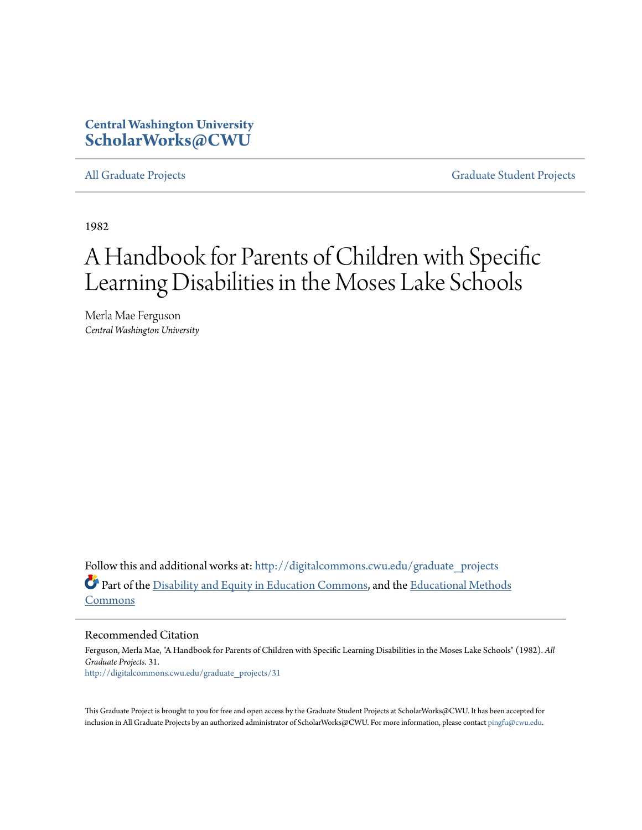# **Central Washington University [ScholarWorks@CWU](http://digitalcommons.cwu.edu?utm_source=digitalcommons.cwu.edu%2Fgraduate_projects%2F31&utm_medium=PDF&utm_campaign=PDFCoverPages)**

[All Graduate Projects](http://digitalcommons.cwu.edu/graduate_projects?utm_source=digitalcommons.cwu.edu%2Fgraduate_projects%2F31&utm_medium=PDF&utm_campaign=PDFCoverPages) **[Graduate Student Projects](http://digitalcommons.cwu.edu/all_gradproj?utm_source=digitalcommons.cwu.edu%2Fgraduate_projects%2F31&utm_medium=PDF&utm_campaign=PDFCoverPages)** Graduate Student Projects

1982

# A Handbook for Parents of Children with Specific Learning Disabilities in the Moses Lake Schools

Merla Mae Ferguson *Central Washington University*

Follow this and additional works at: [http://digitalcommons.cwu.edu/graduate\\_projects](http://digitalcommons.cwu.edu/graduate_projects?utm_source=digitalcommons.cwu.edu%2Fgraduate_projects%2F31&utm_medium=PDF&utm_campaign=PDFCoverPages) Part of the [Disability and Equity in Education Commons,](http://network.bepress.com/hgg/discipline/1040?utm_source=digitalcommons.cwu.edu%2Fgraduate_projects%2F31&utm_medium=PDF&utm_campaign=PDFCoverPages) and the [Educational Methods](http://network.bepress.com/hgg/discipline/1227?utm_source=digitalcommons.cwu.edu%2Fgraduate_projects%2F31&utm_medium=PDF&utm_campaign=PDFCoverPages) [Commons](http://network.bepress.com/hgg/discipline/1227?utm_source=digitalcommons.cwu.edu%2Fgraduate_projects%2F31&utm_medium=PDF&utm_campaign=PDFCoverPages)

#### Recommended Citation

Ferguson, Merla Mae, "A Handbook for Parents of Children with Specific Learning Disabilities in the Moses Lake Schools" (1982). *All Graduate Projects*. 31. [http://digitalcommons.cwu.edu/graduate\\_projects/31](http://digitalcommons.cwu.edu/graduate_projects/31?utm_source=digitalcommons.cwu.edu%2Fgraduate_projects%2F31&utm_medium=PDF&utm_campaign=PDFCoverPages)

This Graduate Project is brought to you for free and open access by the Graduate Student Projects at ScholarWorks@CWU. It has been accepted for inclusion in All Graduate Projects by an authorized administrator of ScholarWorks@CWU. For more information, please contact [pingfu@cwu.edu.](mailto:pingfu@cwu.edu)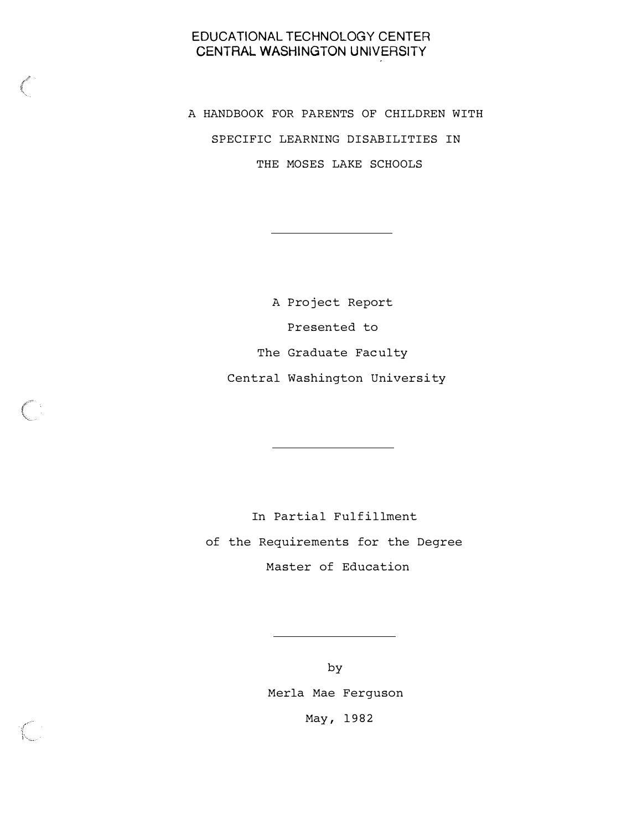# EDUCATIONAL TECHNOLOGY CENTER CENTRAL WASHINGTON UNIVERSITY

A HANDBOOK FOR PARENTS OF CHILDREN WITH SPECIFIC LEARNING DISABILITIES IN THE MOSES LAKE SCHOOLS

> A Project Report Presented to The Graduate Faculty Central Washington University

In Partial Fulfillment of the Requirements for the Degree Master of Education

> by Merla Mae Ferguson May, 1982

,/-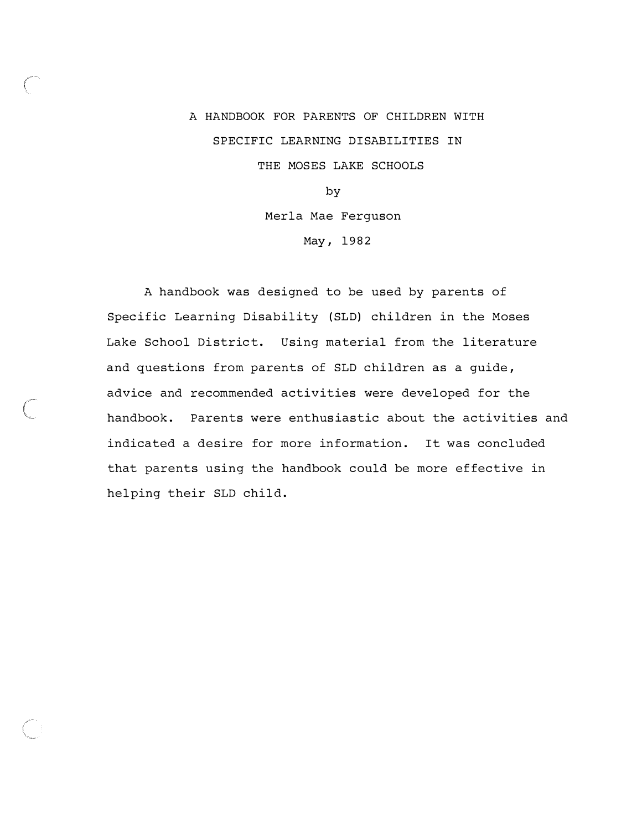# A HANDBOOK FOR PARENTS OF CHILDREN WITH SPECIFIC LEARNING DISABILITIES IN THE MOSES LAKE SCHOOLS by

Merla Mae Ferguson

May, 1982

A handbook was designed to be used by parents of Specific Learning Disability (SLD) children in the Moses Lake School District. Using material from the literature and questions from parents of SLD children as a guide , advice and recommended activities were developed for the handbook. Parents were enthusiastic about the activities and indicated a desire for more information. It was concluded that parents using the handbook could be more effective in helping their SLD child.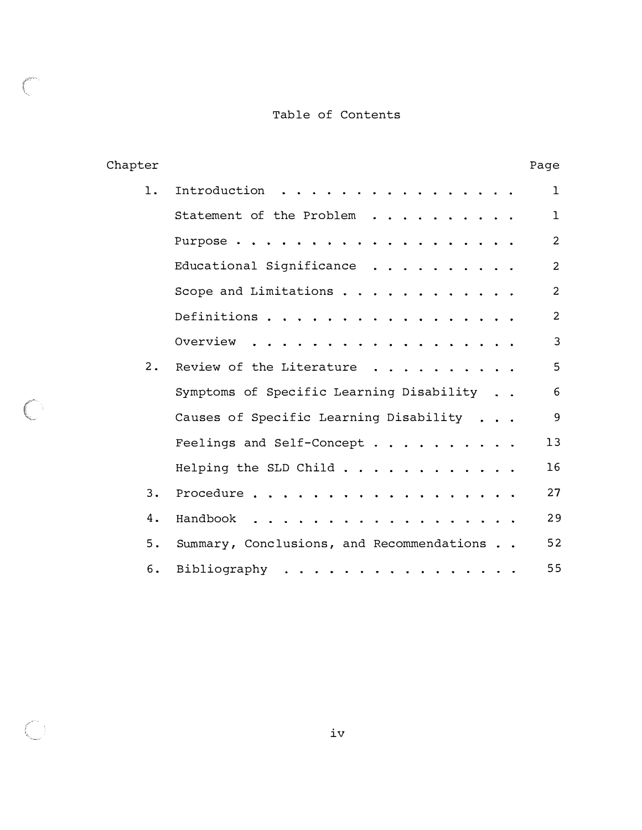# Table of Contents

 $\mathbb{C}$ 

 $\overline{\mathbb{C}}$ 

| Chapter |                                           | Page           |
|---------|-------------------------------------------|----------------|
| 1.      | Introduction                              | ı              |
|         | Statement of the Problem                  | $\mathbf{1}$   |
|         | Purpose                                   | $\overline{2}$ |
|         | Educational Significance                  | $\overline{2}$ |
|         | Scope and Limitations $\cdots$            | $\overline{2}$ |
|         | Definitions                               | $\overline{2}$ |
|         | Overview.<br>$\bullet$ . $\bullet$        | 3              |
| 2.      | Review of the Literature                  | 5              |
|         | Symptoms of Specific Learning Disability  | 6              |
|         | Causes of Specific Learning Disability    | 9              |
|         | Feelings and Self-Concept                 | 13             |
|         | Helping the SLD Child                     | 16             |
| 3.      | Procedure                                 | 27             |
| 4.      | Handbook<br>$\mathbf{a}$ and $\mathbf{a}$ | 29             |
| 5.      | Summary, Conclusions, and Recommendations | 52             |
| 6.      | Bibliography                              | 55             |

iv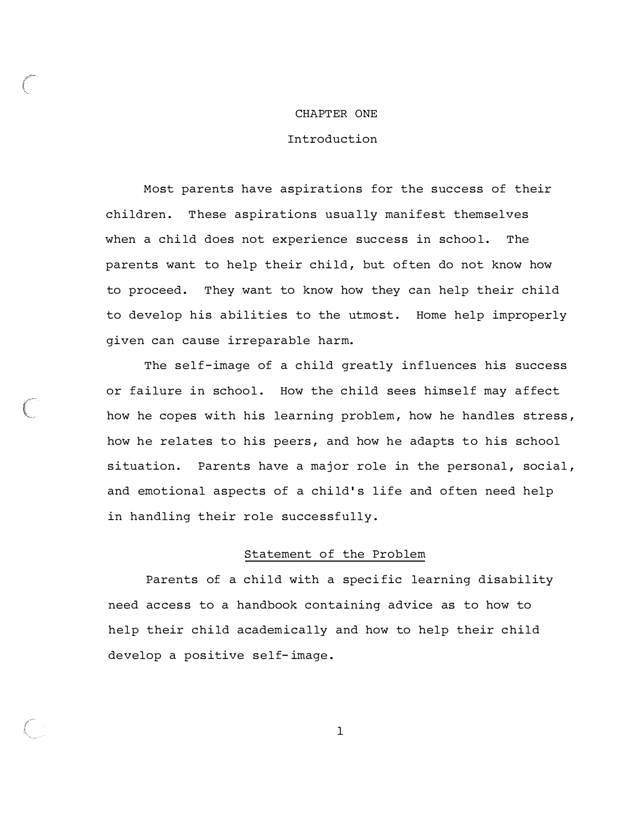#### CHAPTER ONE

#### Introduction

Most parents have aspirations for the success of their children. These aspirations usually manifest themselves when a child does not experience success in school. The parents want to help their child, but often do not know how to proceed. They want to know how they can help their child to develop his abilities to the utmost. Home help improperly given can cause irreparable harm.

The self-image of a child greatly influences his success or failure in school. How the child sees himself may affect how he copes with his learning problem, how he handles stress, how he relates to his peers, and how he adapts to his school situation. Parents have a major role in the personal, social, and emotional aspects of a child's life and often need help in handling their role successfully.

(1999)

#### Statement of the Problem

Parents of a child with a specific learning disability need access to a handbook containing advice as to how to help their child academically and how to help their child develop a positive self- image .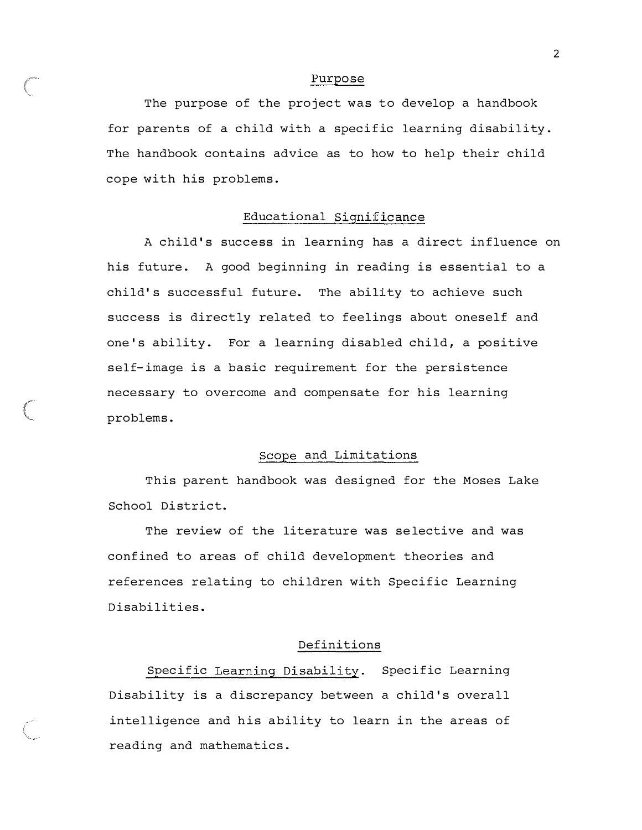#### Purpose

The purpose of the project was to develop a handbook for parents of a child with a specific learning disability . The handbook contains advice as to how to help their child cope with his problems .

#### Educational Significance

A child 's success in learning has a direct influence on his future. A good beginning in reading is essential to a child's successful future. The ability to achieve such success is directly related to feelings about oneself and one's ability. For a learning disabled child, a positive self-image is a basic requirement for the persistence necessary to overcome and compensate for his learning problems .

#### Scope and Limitations

This parent handbook was designed for the Moses Lake School District.

The review of the literature was selective and was confined to areas of child development theories and references relating to children with Specific Learning Disabilities .

#### Definitions

Specific Learning Disability. Specific Learning Disability is a discrepancy between a child's overall intelligence and his ability to learn in the areas of reading and mathematics .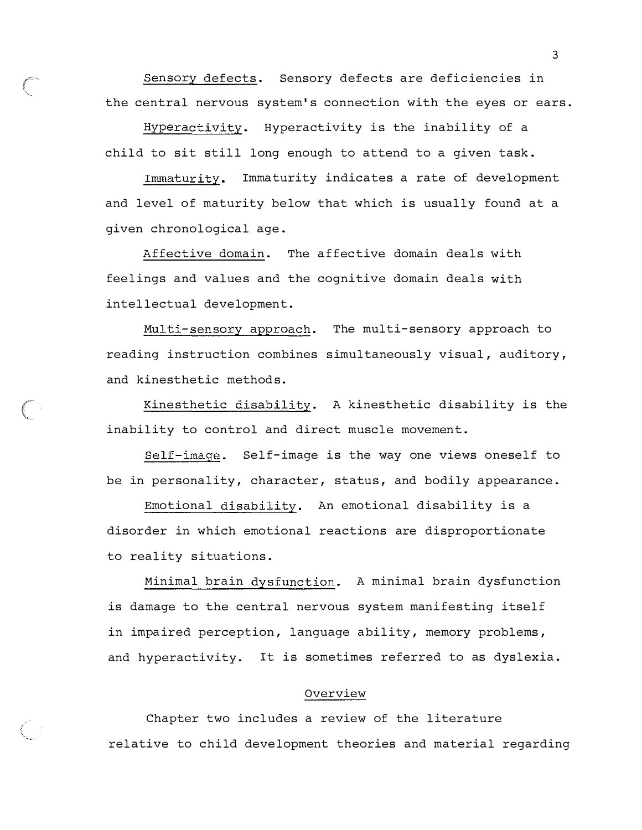Sensory defects . Sensory defects are deficiencies in the central nervous system's connection with the eyes or ears .

Hyperactivity. Hyperactivity is the inability of a child to sit still long enough to attend to a given task .

Immaturity. Immaturity indicates a rate of development and level of maturity below that which is usually found at a given chronological age .

Affective domain. The affective domain deals with feelings and values and the cognitive domain deals with intellectual development.

Multi-sensory approach. The multi-sensory approach to reading instruction combines simultaneously visual, auditory, and kinesthetic methods.

Kinesthetic disability. A kinesthetic disability is the inability to control and direct muscle movement.

Self-image . Self-image is the way one views oneself to be in personality, character, status, and bodily appearance.

Emotional disability. An emotional disability is a disorder in which emotional reactions are disproportionate to reality situations .

Minimal brain dysfunction. A minimal brain dysfunction is damage to the central nervous system manifesting itself in impaired perception, language ability, memory problems, and hyperactivity. It is sometimes referred to as dyslexia.

#### Overview

Chapter two includes a review of the literature relative to child development theories and material regarding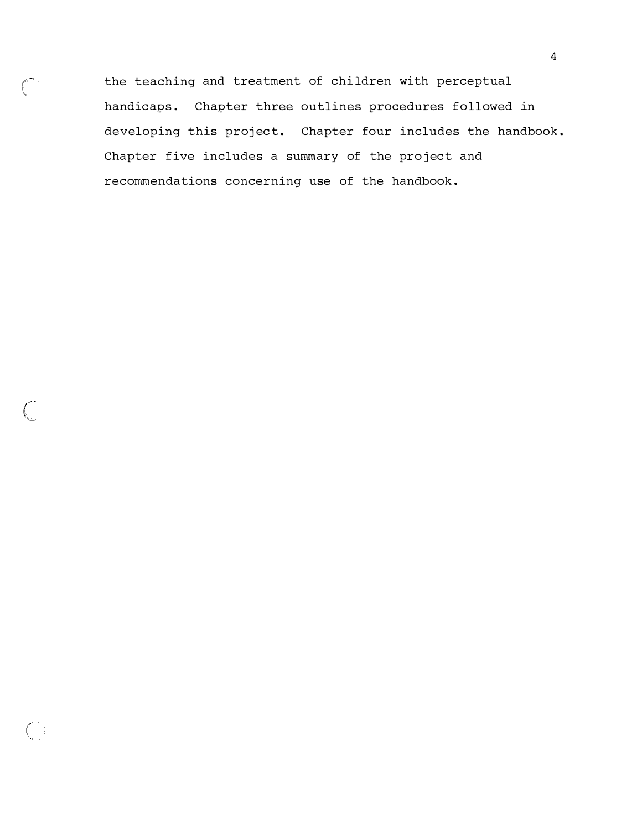the teaching and treatment of chi ldren with perceptual handicaps. Chapter three outlines procedures followed in developing this project. Chapter four includes the handbook. Chapter five includes a summary of the project and recommendations concerning use of the handbook .

(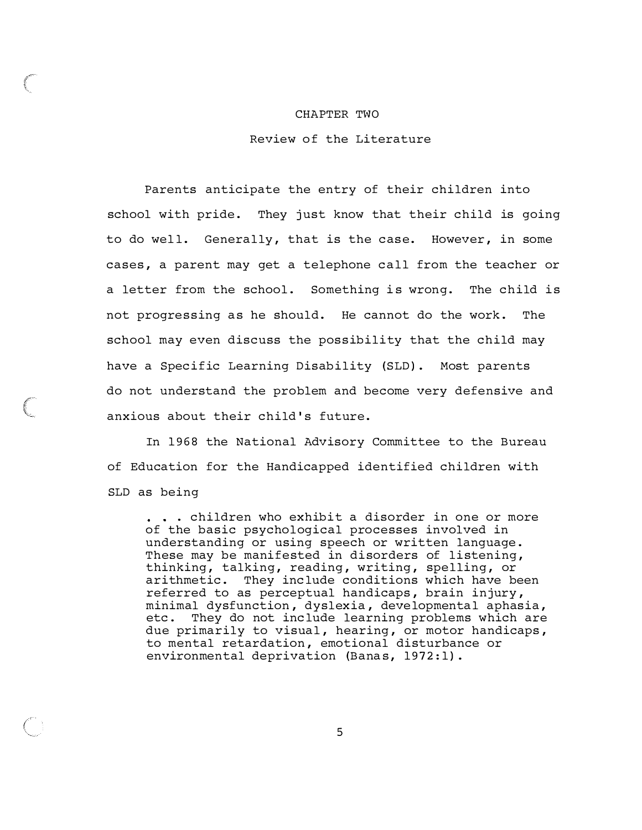#### CHAPTER TWO

Review of the Literature

Parents anticipate the entry of their children into school with pride. They just know that their child is going to do well. Generally, that is the case. However, in some cases, a parent may get a telephone call from the teacher or a letter from the school. Something is wrong. The child is not progressing as he should. He cannot do the work. The school may even discuss the possibility that the child may have a Specific Learning Disability (SLD). Most parents do not understand the problem and become very defensive and anxious about their child's future.

In 1968 the National Advisory Committee to the Bureau of Education for the Handicapped identified children with SLD as being

. children who exhibit a disorder in one or more of the basic psychological processes involved in understanding or using speech or written language . These may be manifested in disorders of listening, thinking, talking, reading, writing, spelling, or arithmetic. They include conditions which have been referred to as perceptual handicaps , brain injury , minimal dysfunction , dyslexia , developmental aphasia , etc. They do not include learning problems which are due primarily to visual, hearing, or motor handicaps, to mental retardation, emotional disturbance or environmental deprivation (Banas, 1972:1).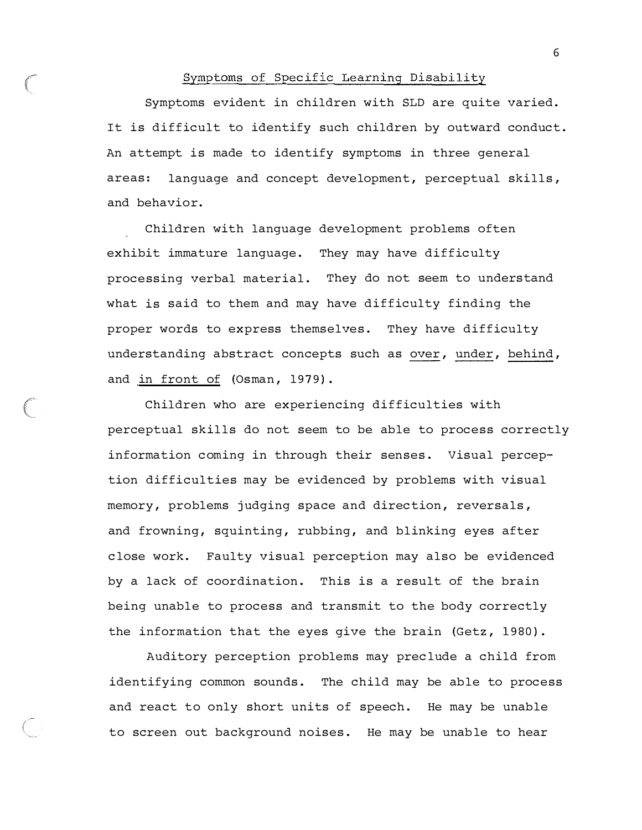#### Symptoms of Specific Learning Disability

Symptoms evident in children with SLD are quite varied . It is difficult to identify such children by outward conduct. An attempt is made to identify symptoms in three general areas: language and concept development, perceptual skills, and behavior.

Children with language development problems often exhibit immature language. They may have difficulty processing verbal material. They do not seem to understand what is said to them and may have difficulty finding the proper words to express themselves. They have difficulty understanding abstract concepts such as over, under, behind, and in front of (Osman, 1979).

Children who are experiencing difficulties with perceptual skills do not seem to be able to process correctly information coming in through their senses. Visual perception difficulties may be evidenced by problems with visual memory, problems judging space and direction, reversals, and frowning, squinting, rubbing, and blinking eyes after close work. Faulty visual perception may also be evidenced by a lack of coordination. This is a result of the brain being unable to process and transmit to the body correctly the information that the eyes give the brain (Getz,  $1980$ ).

Auditory perception problems may preclude a child from identifying common sounds. The child may be able to process and react to only short units of speech. He may be unable to screen out background noises. He may be unable to hear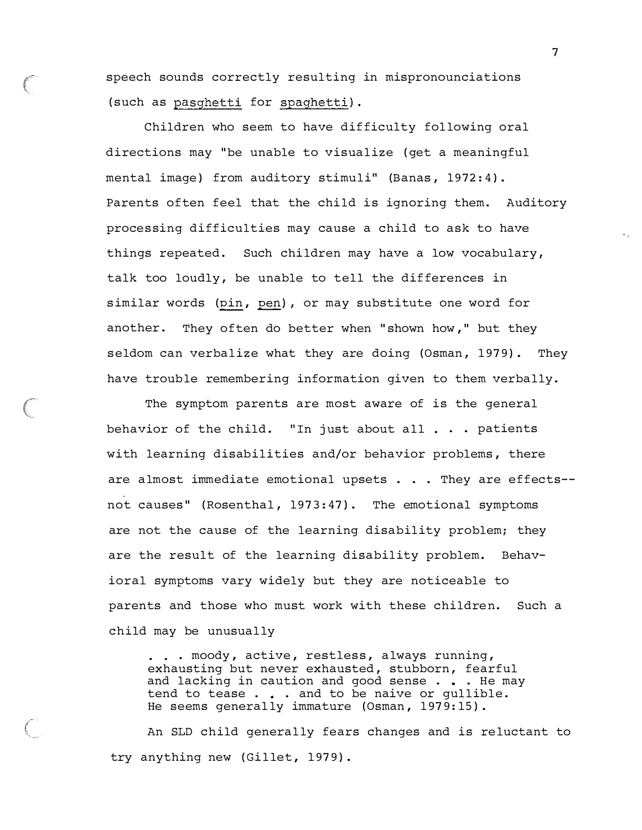speech sounds correctly resulting in mispronounciations ( such as pasghetti for spaghetti).

Children who seem to have difficulty following oral directions may "be unable to visualize ( get a meaningful mental image) from auditory stimuli" (Banas, 1972:4). Parents often feel that the child is ignoring them. Auditory processing difficulties may cause a child to ask to have things repeated. Such children may have a low vocabulary, talk too loudly, be unable to tell the differences in similar words (pin, pen), or may substitute one word for another. They often do better when "shown how," but they seldom can verbalize what they are doing (Osman, 1979). They have trouble remembering information given to them verbally.

The symptom parents are most aware of is the general behavior of the child. "In just about all  $\ldots$  patients with learning disabilities and/or behavior problems , there are almost immediate emotional upsets . . . They are effects-not causes" (Rosenthal, 1973:47). The emotional symptoms are not the cause of the learning disability problem; they are the result of the learning disability problem. Behavioral symptoms vary widely but they are noticeable to parents and those who must work with these children. Such a child may be unusually

. . . moody, active, restless, always running, exhausting but never exhausted, stubborn, fearful and lacking in caution and good sense . . . He may tend to tease  $\ldots$  . and to be naive or qullible. He seems generally immature (Osman, 1979:15).

An SLD child generally fears changes and is reluctant to try anything new (Gillet, 1979).

 $\sqrt{2}$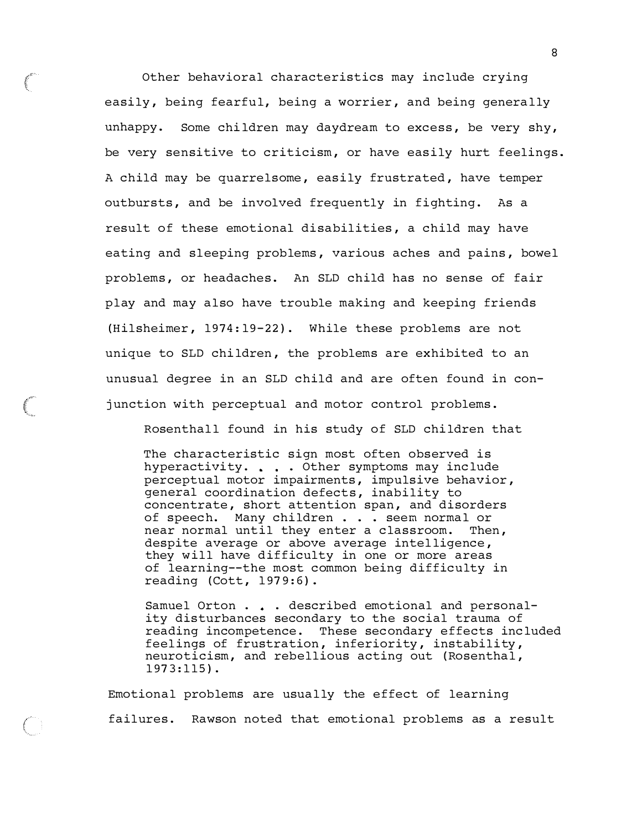Other behavioral characteristics may include crying easily, being fearful, being a worrier, and being generally unhappy. Some children may daydream to excess, be very shy, be very sensitive to criticism, or have easily hurt feelings. A child may be quarrelsome, easily frustrated, have temper outbursts, and be involved frequently in fighting. As a result of these emotional disabilities, a child may have eating and sleeping problems, various aches and pains, bowel problems , or headaches. An SLD child has no sense of fair play and may also have trouble making and keeping friends (Hilsheimer, 1974:19-22). While these problems are not unique to SLD children, the problems are exhibited to an unusual degree in an SLD child and are often found in conjunction with perceptual and motor control problems.

Rosenthall found in his study of SLD chi ldren that

The characteristic sign most often observed is hyperactivity. . . . Other symptoms may include perceptual motor impairments, impulsive behavior , general coordination defects, inability to concentrate, short attention span, and disorders of speech. Many children . . . seem normal or near normal until they enter a classroom. Then, despite average or above average intelligence, they will have difficulty in one or more areas of learning--the most common being difficulty in reading (Cott, 1979:6).

Samuel Orton . . . described emotional and personality disturbances secondary to the social trauma of reading incompetence. These secondary effects included feelings of frustration, inferiority, instability, neuroticism, and rebellious acting out (Rosenthal,  $1973:115$ .

Emotional problems are usually the effect of learning failures. Rawson noted that emotional problems as a result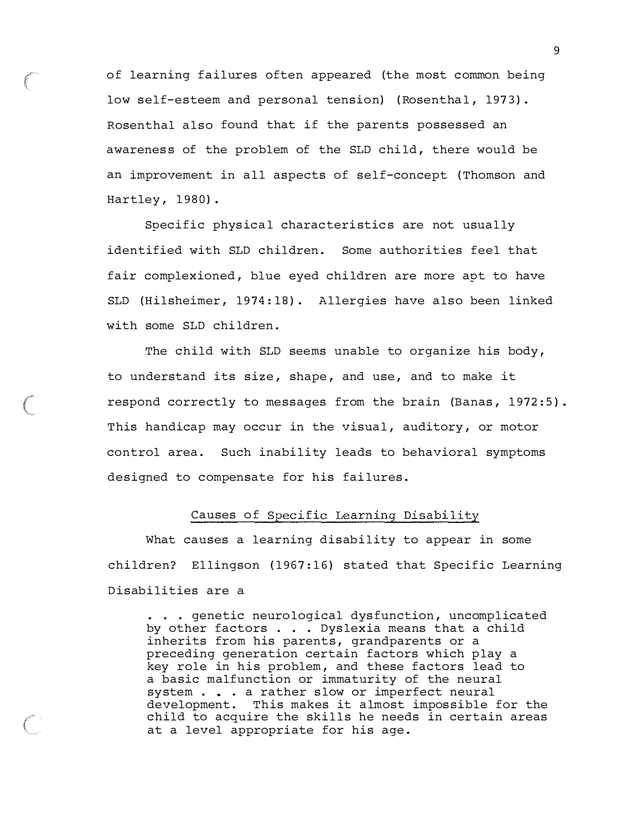of learning failures often appeared (the most common being low self-esteem and personal tension) (Rosenthal, 1973). Rosenthal also found that if the parents possessed an awareness of the problem of the SLD child, there would be an improvement in all aspects of self-concept ( Thomson and Hartley, 1980).

Specific physical characteristics are not usually identified with SLD children. Some authorities feel that fair complexioned, blue eyed children are more apt to have SLD (Hilsheimer, 1974:18). Allergies have also been linked with some SLD children .

The child with SLD seems unable to organize his body, to understand its size, shape, and use, and to make it respond correctly to messages from the brain (Banas, 1972:5). This handicap may occur in the visual, auditory, or motor control area. Such inability leads to behavioral symptoms designed to compensate for his failures.

#### Causes of Specific Learning Disability

What causes a learning disability to appear in some children? Ellingson (1967:16) stated that Specific Learning Disabilities are a

. . . genetic neurological dysfunction, uncomplicated by other factors . . . Dyslexia means that a child inherits from his parents, grandparents or a preceding generation certain factors which play a key role in his problem , and these factors lead to a basic malfunction or immaturity of the neural system  $\ldots$  . a rather slow or imperfect neural development. This makes it almost impossible for the child to acquire the skills he needs in certain areas at a level appropriate for his age .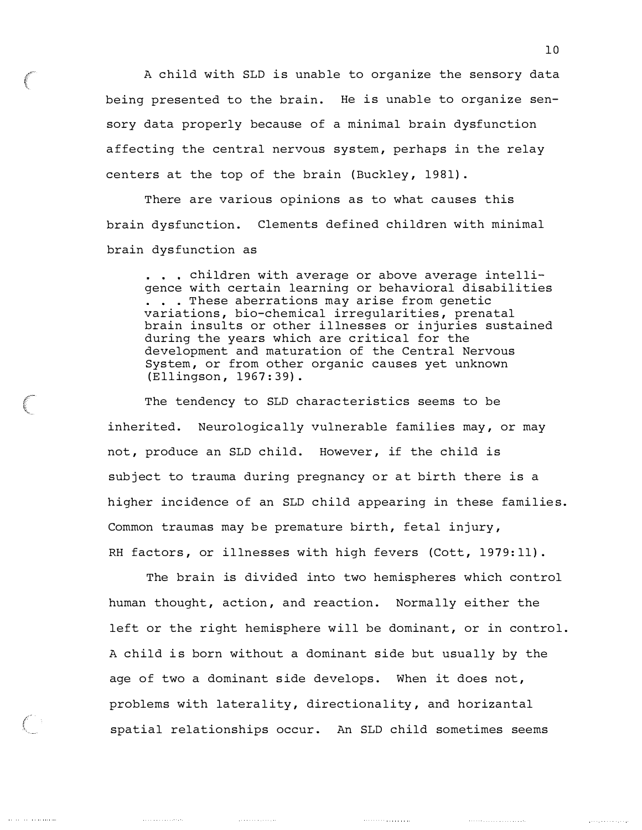A child with SLD is unable to organize the sensory data being presented to the brain. He is unable to organize sensory data properly because of a minimal brain dysfunction affecting the central nervous system, perhaps in the relay centers at the top of the brain (Buckley, 1981).

There are various opinions as to what causes this brain dysfunction. Clements defined children with minimal brain dysfunction as

... children with average or above average intelligence with certain learning or behavioral disabilities ... These aberrations may arise from genetic variations, bio-chemical irregularities, prenatal brain insults or other illnesses or injuries sustained during the years which are critical for the development and maturation of the Central Nervous System, or from other organic causes yet unknown (Ellingson , 1967:39) .

The tendency to SLD characteristics seems to be inherited. Neurologically vulnerable families may, or may not, produce an SLD child. However, if the child is subject to trauma during pregnancy or at birth there is a higher incidence of an SLD child appearing in these families. Common traumas may be premature birth, fetal injury, RH factors, or illnesses with high fevers (Cott, 1979:11).

The brain is divided into two hemispheres which control human thought, action, and reaction. Normally either the left or the right hemisphere will be dominant, or in control. A child is born without a dominant side but usually by the age of two a dominant side develops. When it does not, problems with laterality, directionality, and horizantal spatial relationships occur. An SLD child sometimes seems

 $\begin{array}{cccccccccccccc} \multicolumn{2}{c}{} & \multicolumn{2}{c}{} & \multicolumn{2}{c}{} & \multicolumn{2}{c}{} & \multicolumn{2}{c}{} & \multicolumn{2}{c}{} & \multicolumn{2}{c}{} & \multicolumn{2}{c}{} & \multicolumn{2}{c}{} & \multicolumn{2}{c}{} & \multicolumn{2}{c}{} & \multicolumn{2}{c}{} & \multicolumn{2}{c}{} & \multicolumn{2}{c}{} & \multicolumn{2}{c}{} & \multicolumn{2}{c}{} & \multicolumn{2}{c}{} & \multicolumn{2}{c}{} & \multicolumn{2}{c}{} & \$ 

بريدر والمتحد والمنز

 $\label{eq:1} \begin{array}{ll} \begin{array}{ll} \begin{array}{ll} \begin{array}{ll} \multicolumn{3}{l} \end{array} & \multicolumn{3}{l} \end{array} & \multicolumn{3}{l} \end{array} & \begin{array}{ll} \multicolumn{3}{l} \multicolumn{3}{l} \end{array} & \multicolumn{3}{l} \end{array} & \multicolumn{3}{l} \end{array} \end{array}$ 

 $\mathcal{L}$ 

and the contract of the components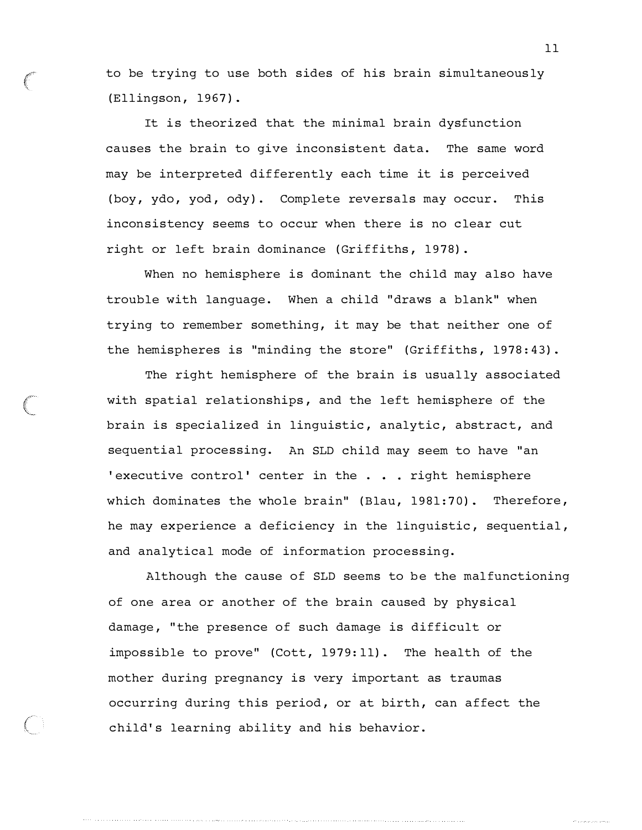to be trying to use both sides of his brain simultaneous ly (Ellingson, 1967).

It is theorized that the minimal brain dysfunction causes the brain to give inconsistent data. The same word may be interpreted differently each time it is perceived (boy, ydo, yod, ody). Complete reversals may occur. This inconsistency seems to occur when there is no clear cut right or left brain dominance (Griffiths, 1978).

When no hemisphere is dominant the child may also have trouble with language. When a child "draws a blank" when trying to remember something, it may be that neither one of the hemispheres is "minding the store" (Griffiths, 1978:43).

The right hemisphere of the brain is usually associated with spatial relationships, and the left hemisphere of the brain is specialized in linguistic, analytic, abstract, and sequential processing. An SLD child may seem to have "an 'executive control' center in the  $\ldots$  right hemisphere which dominates the whole brain" (Blau, 1981:70). Therefore, he may experience a deficiency in the linguistic, sequential, and analytical mode of information processing.

Although the cause of SLD seems to be the malfunctioning of one area or another of the brain caused by physical damage, "the presence of such damage is difficult or impossible to prove" (Cott, 1979:11). The health of the mother during pregnancy is very important as traumas occurring during this period, or at birth, can affect the child's learning ability and his behavior.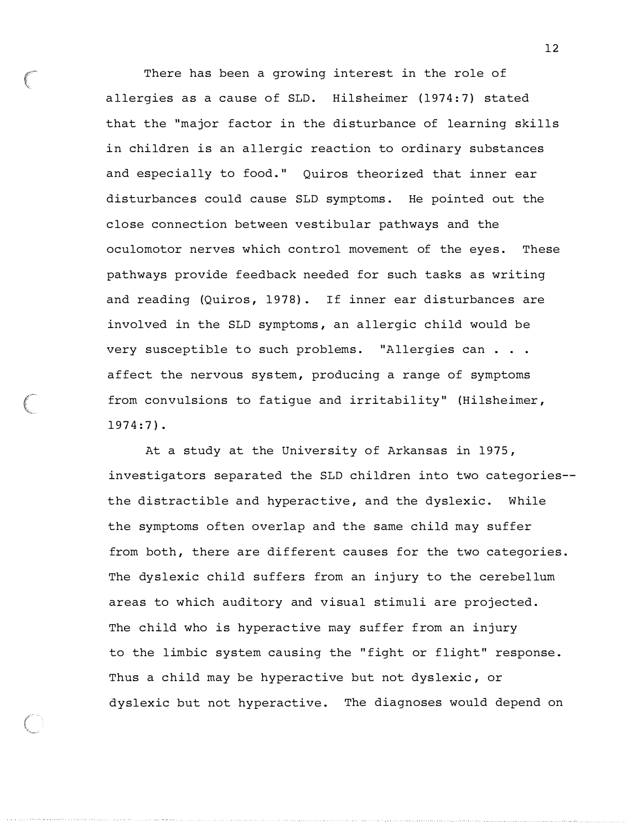There has been a growing interest in the role of allergies as a cause of SLD. Hilsheimer (1974:7) stated that the "major factor in the disturbance of learning skills in children is an allergic reaction to ordinary substances and especially to food." Quiros theorized that inner ear disturbances could cause SLD symptoms. He pointed out the close connection between vestibular pathways and the oculomotor nerves which control movement of the eyes. These pathways provide feedback needed for such tasks as writing and reading (Quiros, 1978). If inner ear disturbances are involved in the SLD symptoms, an allergic child would be very susceptible to such problems. "Allergies can . . . affect the nervous system, producing a range of symptoms from convulsions to fatique and irritability" (Hilsheimer,  $1974:7$ .

At a study at the University of Arkansas in 1975 , investigators separated the SLD children into two categories the distractible and hyperactive, and the dyslexic. While the symptoms often overlap and the same child may suffer from both, there are different causes for the two categories. The dyslexic child suffers from an injury to the cerebellum areas to which auditory and visual stimuli are projected . The child who is hyperactive may suffer from an injury to the limbic system causing the "fight or flight" response. Thus a child may be hyperactive but not dyslexic, or dyslexic but not hyperactive. The diagnoses would depend on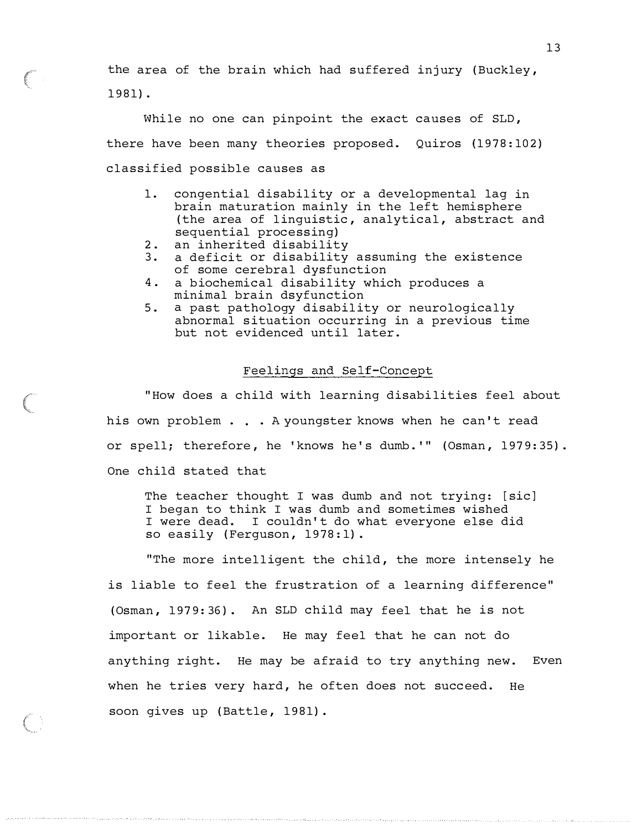the area of the brain which had suffered injury (Buckley, 1981) .

While no one can pinpoint the exact causes of SLD, there have been many theories proposed. Quiros (1978:102) classified possible causes as

- 1. congential disability or a developmental lag in brain maturation mainly in the left hemisphere (the area of linguistic, analytical, abstract and sequential processing)
- 2. an inherited disability

 $\left($ 

- 3. a deficit or disability assuming the existence of some cerebral dysfunction
- 4. a biochemical disability which produces a minimal brain dsyfunction
- 5. a past pathology disability or neurologically abnormal situation occurring in a previous time but not evidenced until later .

#### Feelings and Self-Concept

"How does a child with learning disabilities feel about his own problem . . . A youngster knows when he can't read or spell; therefore, he 'knows he's dumb.'" (Osman, 1979:35). One child stated that

The teacher thought I was dumb and not trying: [sic] I began to think I was dumb and sometimes wished I were dead. I couldn't do what everyone else did so easily (Ferguson, 1978:1).

"The more intelligent the child, the more intensely he is liable to feel the frustration of a learning difference" (Osman, 1979:36). An SLD child may feel that he is not important or likable. He may feel that he can not do anything right. He may be afraid to try anything new. Even when he tries very hard, he often does not succeed. He soon gives up (Battle, 1981).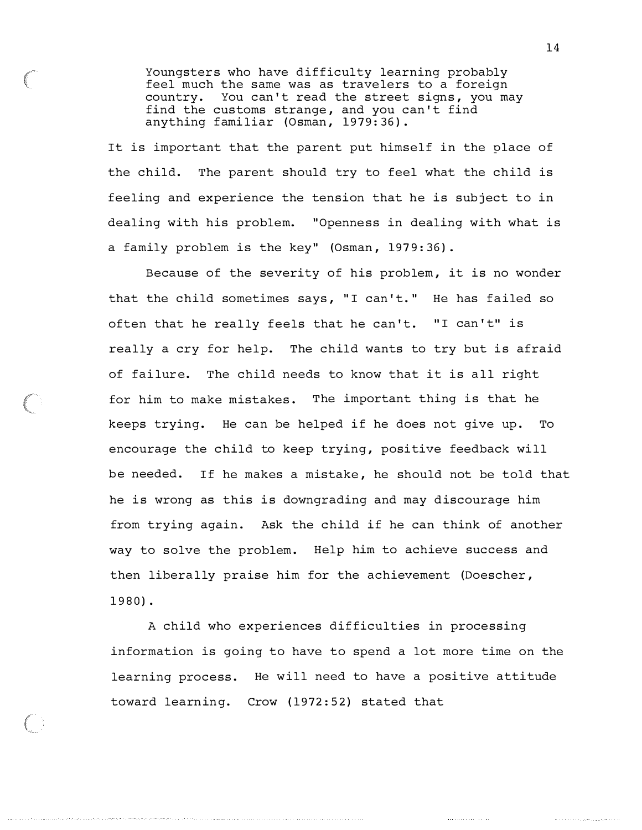Youngsters who have difficulty learning probably feel much the same was as travelers to a foreign country. You can't read the street signs, you may find the customs strange, and you can't find anything familiar (Osman, 1979:36).

It is important that the parent put himself in the place of the child. The parent should try to feel what the child is feeling and experience the tension that he is subject to in dealing with his problem. " Openness in dealing with what is a family problem is the key" (Osman, 1979:36).

Because of the severity of his problem, it is no wonder that the child sometimes says, "I can't." He has failed so often that he really feels that he can't. "I can't" is really a cry for help. The child wants to try but is afraid of failure. The child needs to know that it is all right for him to make mistakes. The important thing is that he keeps trying. He can be helped if he does not give up. To encourage the child to keep trying, positive feedback will be needed. If he makes a mistake, he should not be told that he is wrong as this is downgrading and may discourage him from trying again. Ask the child if he can think of another way to solve the problem. Help him to achieve success and then liberally praise him for the achievement (Doescher , 1980) .

A child who experiences difficulties in processing information is going to have to spend a lot more time on the learning process. He will need to have a positive attitude toward learning. Crow (1972:52) stated that

. . . . . . . . . . . . . . . . .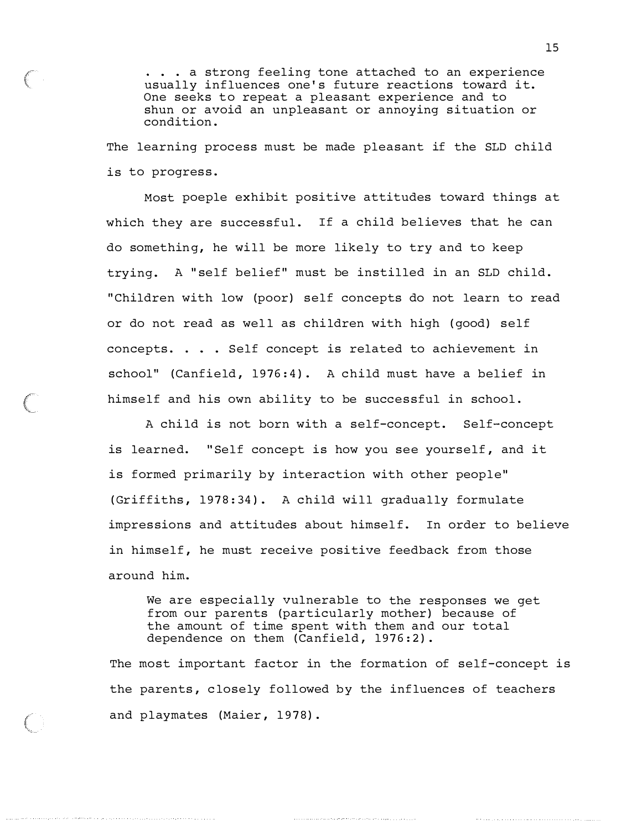. . a strong feeling tone attached to an experience usually influences one's future reactions toward it. One seeks to repeat a pleasant experience and to shun or avoid an unpleasant or annoying situation or condition .

The learning process must be made pleasant if the SLD child is to progress.

Most poeple exhibit positive attitudes toward things at which they are successful. If a child believes that he can do something, he will be more likely to try and to keep trying. A "self belief" must be instilled in an SLD child. " Children with low (poor) self concepts do not learn to read or do not read as well as children with high ( good) self concepts. . . . Self concept is related to achievement in school" (Canfield, 1976:4). A child must have a belief in himself and his own ability to be successful in school.

A child is not born with a self-concept . Self-concept is learned. "Self concept is how you see yourself, and it is formed primarily by interaction with other people" (Griffiths, 1978:34). A child will gradually formulate impressions and attitudes about himself. In order to believe in himself, he must receive positive feedback from those around him.

We are especially vulnerable to the responses we get from our parents (particularly mother) because of the amount of time spent with them and our total dependence on them (Canfield, 1976:2).

The most important factor in the formation of self-concept is the parents, closely followed by the influences of teachers and playmates (Maier, 1978).

الراجع والمتحدث والمتحدث والمتحدث والمتحدث والمتحدث والمتحدث والمتعاري والمتعارف والمتحدث والمتحدث والمتحدث والمتحدث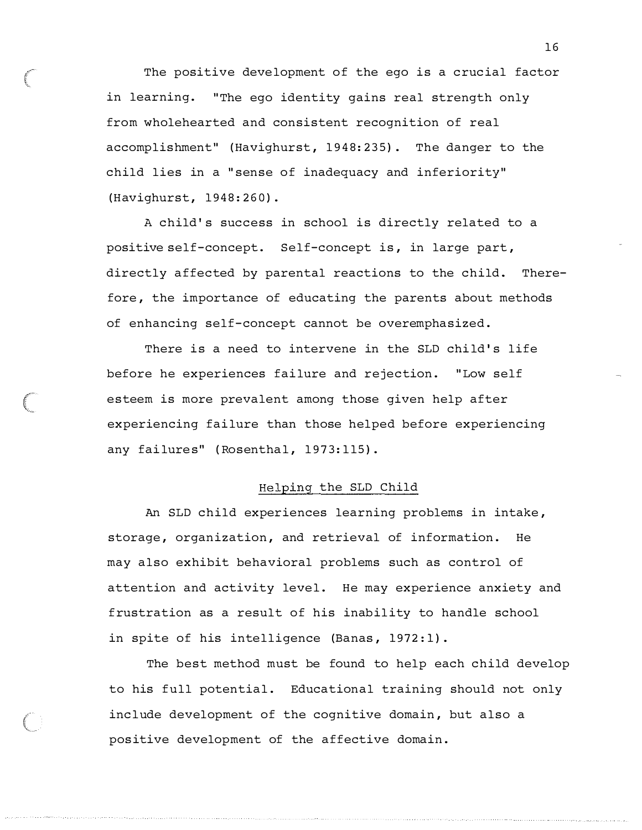The positive development of the ego is a crucial factor in learning. "The ego identity gains real strength only from wholehearted and consistent recognition of real accomplishment" (Havighurst, 1948:235). The danger to the child lies in a " sense of inadequacy and inferiority" (Havighurst, 1948:260).

A child's success in school is directly related to a positive self-concept. Self-concept is, in large part, directly affected by parental reactions to the child. Therefore, the importance of educating the parents about methods of enhancing self-concept cannot be overemphasized .

There is a need to intervene in the SLD child's life before he experiences failure and rejection. "Low self esteem is more prevalent among those given help after experiencing failure than those helped before experiencing any failures" (Rosenthal, 1973:115).

#### Helping the SLD Child

An SLD child experiences learning problems in intake , storage, organization, and retrieval of information. He may also exhibit behavioral problems such as control of attention and activity level. He may experience anxiety and frustration as a result of his inability to handle school in spite of his intelligence (Banas, 1972:1).

The best method must be found to help each child develop to his full potential. Educational training should not only include development of the cognitive domain, but also a positive development of the affective domain .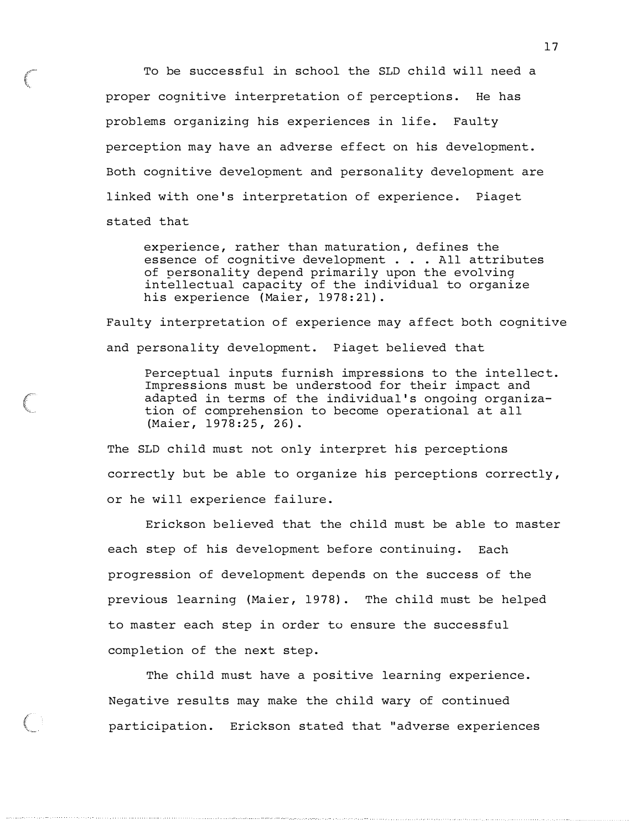To be successful in school the SLD child will need a proper cognitive interpretation of perceptions. He has problems organizing his experiences in life. Faulty perception may have an adverse effect on his development. Both cognitive development and personality development are l inked with one's interpretation of experience. Piaget stated that

experience, rather than maturation, defines the essence of cognitive development . . . All attributes of personality depend primarily upon the evolving intellectual capacity of the individual to organize his experience (Maier, 1978:21).

Faulty interpretation of experience may affect both cognitive and personality development. Piaget believed that

Perceptual inputs furnish impressions to the intellect. Impressions must be understood for their impact and adapted in terms of the individual 's ongoing organization of comprehension to become operational at all (Maier, 1978:25, 26).

The SLD child must not only interpret his perceptions correctly but be able to organize his perceptions correctly, or he will experience failure.

Erickson believed that the child must be able to master each step of his development before continuing. Each progression of development depends on the success of the previous learning (Maier, 1978). The child must be helped to master each step in order to ensure the successful completion of the next step.

The child must have a positive learning experience. Negative results may make the child wary of continued participation. Erickson stated that "adverse experiences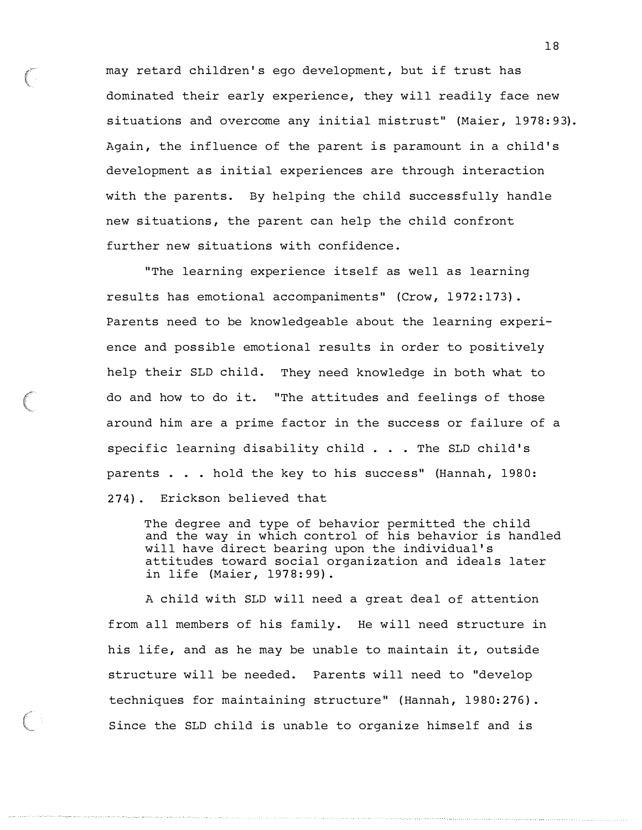may retard children's ego development, but if trust has dominated their early experience, they will readily face new situations and overcome any initial mistrust" (Maier, 1978:93). Again, the influence of the parent is paramount in a child's development as initial experiences are through interaction with the parents. By helping the child successfully handle new situations, the parent can help the child confront further new situations with confidence .

" The learning experience itself as well as learning results has emotional accompaniments" (Crow, 1972:173). Parents need to be knowledgeable about the learning experience and possible emotional results in order to positively help their SLD child. They need knowledge in both what to do and how to do it. "The attitudes and feelings of those around him are a prime factor in the success or failure of a specific learning disability child ... The SLD child 's parents . . . hold the key to his success" (Hannah, 1980: 274) . Erickson believed that

The degree and type of behavior permitted the child and the way in which control of his behavior is handled will have direct bearing upon the individual's attitudes toward social organization and ideals later in life (Maier, 1978:99).

A child with SLD will need a great deal of attention from all members of his family. He will need structure in his life, and as he may be unable to maintain it, outside structure will be needed. Parents will need to "develop techniques for maintaining structure" (Hannah, 1980:276). Since the SLD child is unable to organize himself and is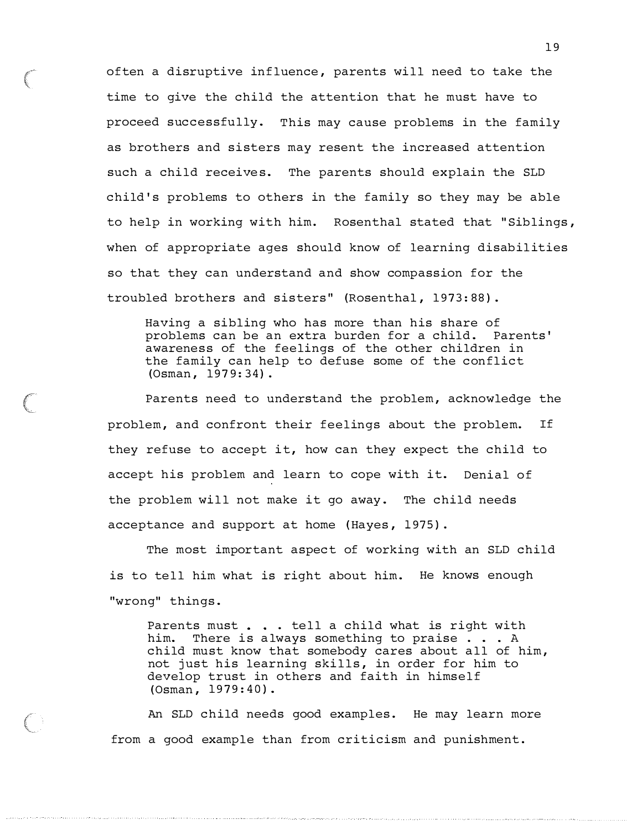often a disruptive influence, parents will need to take the time to give the child the attention that he must have to proceed successfully. This may cause problems in the family as brothers and sisters may resent the increased attention such a child receives. The parents should explain the SLD child's problems to others in the family so they may be able to help in working with him. Rosenthal stated that "Siblings, when of appropriate ages should know of learning disabilities so that they can understand and show compassion for the troubled brothers and sisters" (Rosenthal, 1973:88).

Having a sibling who has more than his share of problems can be an extra burden for a child. Parents' awareness of the feelings of the other children in the family can help to defuse some of the conflict (Osman, 1979:34).

Parents need to understand the problem, acknowledge the problem, and confront their feelings about the problem. If they refuse to accept it, how can they expect the child to accept his problem and learn to cope with it. Denial of the problem will not make it go away. The child needs acceptance and support at home (Hayes, 1975).

The most important aspect of working with an SLD child is to tell him what is right about him. He knows enough "wrong" things.

Parents must . . . tell a child what is right with him. There is always something to praise . . . A child must know that somebody cares about all of him, not just his learning skills, in order for him to develop trust in others and faith in himself  $(Osman, 1979:40)$ .

An SLD child needs good examples. He may learn more from a good example than from criticism and punishment.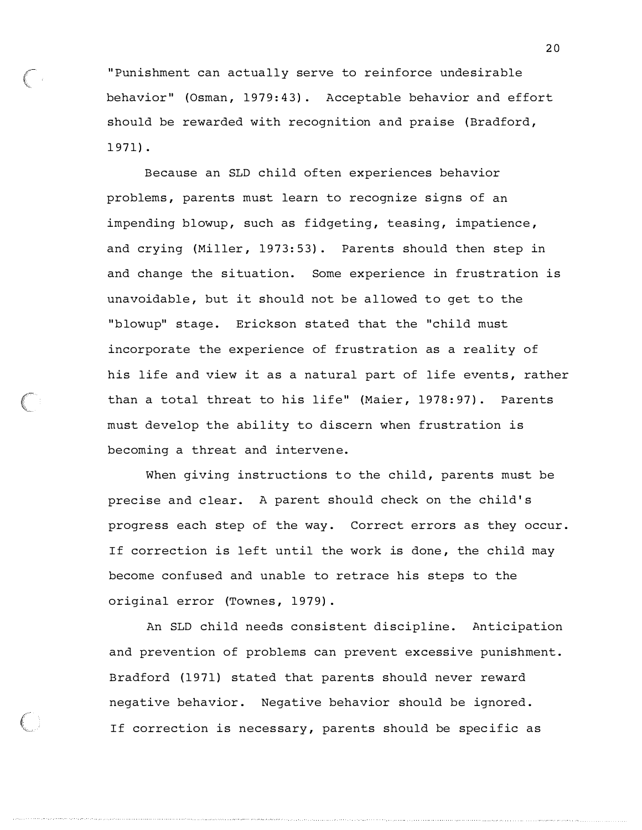" Punishment can actually serve to reinforce undesirable behavior" (Osman, 1979:43). Acceptable behavior and effort should be rewarded with recognition and praise (Bradford, 1 9 71) .

Because an SLD child often experiences behavior problems , parents must learn to recognize signs of an impending blowup, such as fidgeting, teasing, impatience, and crying (Miller, 1973:53). Parents should then step in and change the situation. Some experience in frustration is unavoidable, but it should not be allowed to get to the "blowup" stage. Erickson stated that the "child must incorporate the experience of frustration as a reality of his life and view it as a natural part of life events, rather than a total threat to his life" (Maier, 1978:97). Parents must develop the ability to discern when frustration is becoming a threat and intervene.

When giving instructions to the child, parents must be precise and clear. A parent should check on the child's progress each step of the way. Correct errors as they occur. If correction is left until the work is done, the child may become confused and unable to retrace his steps to the original error (Townes, 1979).

An SLD child needs consistent discipline. Anticipation and prevention of problems can prevent excessive punishment. Bradford (1971) stated that parents should never reward negative behavior . Negative behavior should be ignored . If correction is necessary, parents should be specific as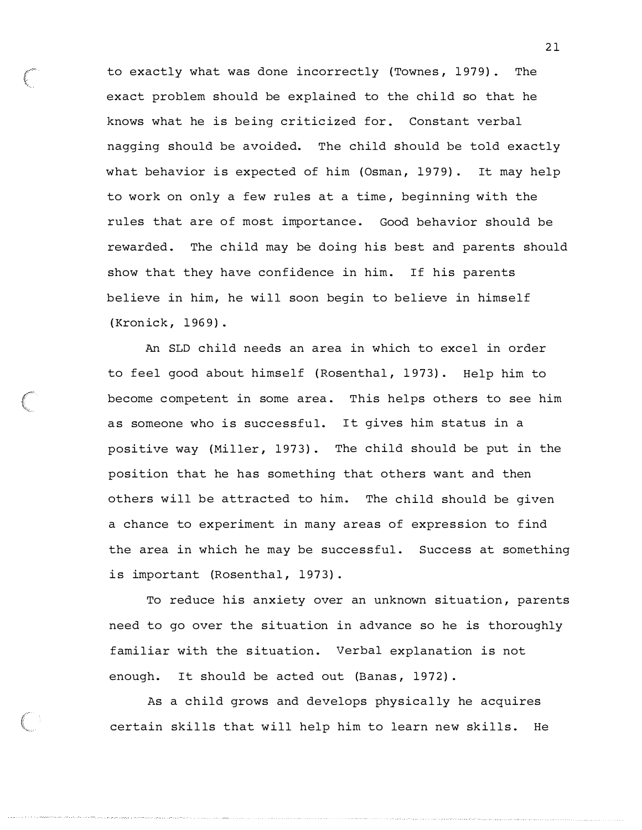to exactly what was done incorrectly (Townes, 1979). The exact problem should be explained to the child so that he knows what he is being criticized for. Constant verbal nagging should be avoided. The child should be told exactly what behavior is expected of him (Osman,  $1979$ ). It may help to work on only a few rules at a time , beginning with the rules that are of most importance. Good behavior should be rewarded. The child may be doing his best and parents should show that they have confidence in him. If his parents believe in him, he will soon begin to believe in himself {Kronick , 1969) .

An SLD child needs an area in which to excel in order to feel good about himself {Rosenthal, 1973) . Help him to become competent in some area. This helps others to see him as someone who is successful. It gives him status in a positive way (Miller, 1973). The child should be put in the position that he has something that others want and then others will be attracted to him. The child should be given a chance to experiment in many areas of expression to find the area in which he may be successful. Success at something is important (Rosenthal, 1973).

To reduce his anxiety over an unknown situation, parents need to go over the situation in advance so he is thoroughly familiar with the situation. Verbal explanation is not enough. It should be acted out (Banas, 1972).

As a child grows and develops physically he acquires certain skills that will help him to learn new skills. He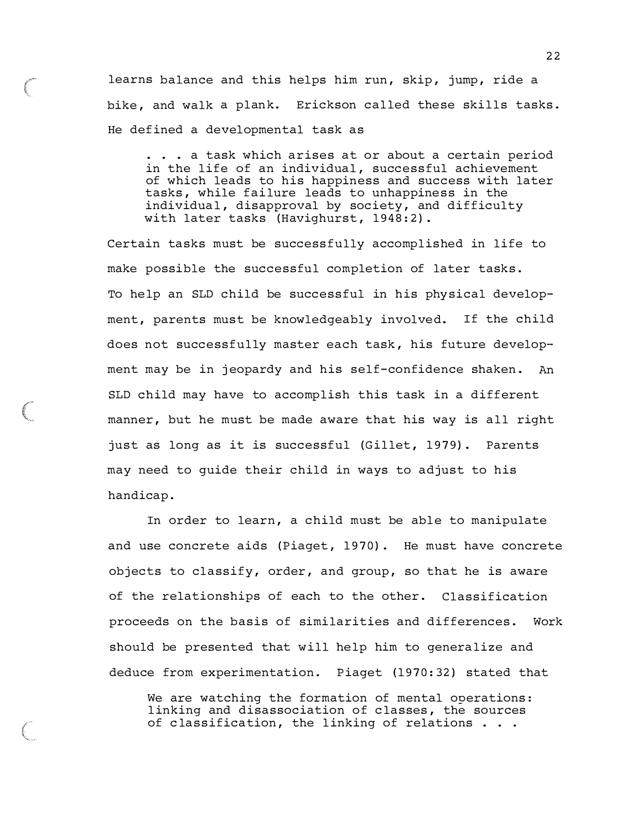learns balance and this helps him run, skip, jump, ride a bike, and walk a plank. Erickson called these skills tasks. He defined a developmental task as

. . . a task which arises at or about a certain period in the life of an individual, successful achievement of which leads to his happiness and success with later tasks, while failure leads to unhappiness in the individual, disapproval by society, and difficulty with later tasks (Havighurst, 1948:2).

Certain tasks must be successfully accomplished in life to make possible the successful completion of later tasks . To help an SLD child be successful in his physical development, parents must be knowledgeably involved. If the child does not successfully master each task, his future development may be in jeopardy and his self-confidence shaken. An SLD child may have to accomplish this task in a different manner, but he must be made aware that his way is all right just as long as it is successful (Gillet, 1979). Parents may need to guide their child in ways to adjust to his handicap .

In order to learn, a child must be able to manipulate and use concrete aids (Piaget, 1970). He must have concrete objects to classify, order, and group, so that he is aware of the relationships of each to the other. Classification proceeds on the basis of similarities and differences. Work should be presented that will help him to generalize and deduce from experimentation. Piaget (1970:32) stated that

We are watching the formation of mental operations: linking and disassociation of classes, the sources of classification, the linking of relations  $\ldots$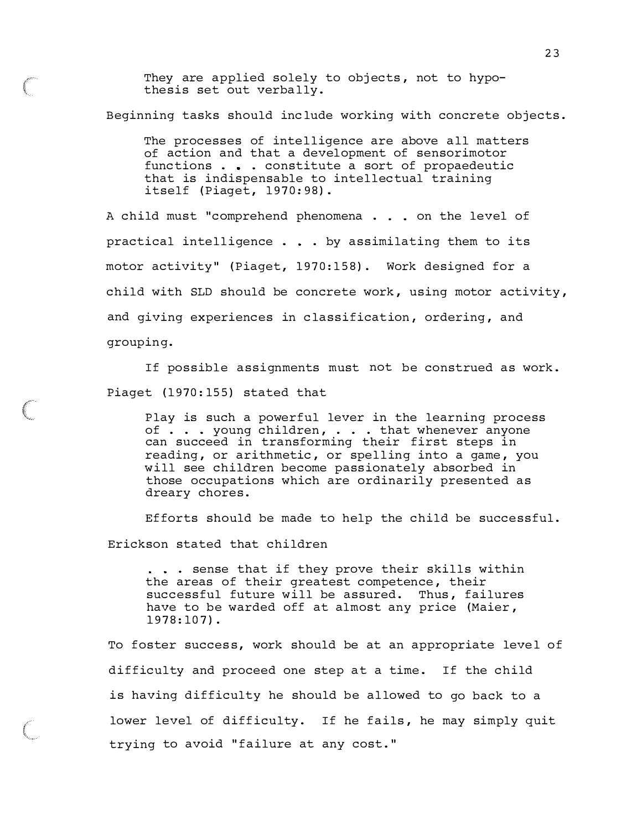They are applied solely to objects, not to hypothesis set out verbally.

Beginning tasks should include working with concrete objects.

The processes of intelligence are above all matters of action and that a development of sensorimotor functions . . constitute a sort of propaedeutic that is indispensable to intellectual training  $itself$  (Piaget,  $1970:98$ ).

A child must "comprehend phenomena . . . on the level of practical intelligence . . by assimilating them to its motor activity" (Piaget, 1970:158). Work designed for a child with SLD should be concrete work, using motor activity, and giving experiences in classification, ordering, and grouping.

If possible assignments must not be construed as work . Piaget (1970:155) stated that

Play is such a powerful lever in the learning process of . . . young children, . . . that whenever anyone can succeed in transforming their first steps in reading, or arithmetic, or spelling into a game, you will see children become passionately absorbed in those occupations which are ordinarily presented as dreary chores.

Efforts should be made to help the child be successful . Erickson stated that children

... sense that if they prove their skills within the areas of their greatest competence, their successful future will be assured. Thus, failures have to be warded off at almost any price (Maier,  $1978:107$ .

To foster success, work should be at an appropriate level of difficulty and proceed one step at a time. If the child is having difficulty he should be allowed to go back to a lower level of difficulty. If he fails, he may simply quit trying to avoid "failure at any cost."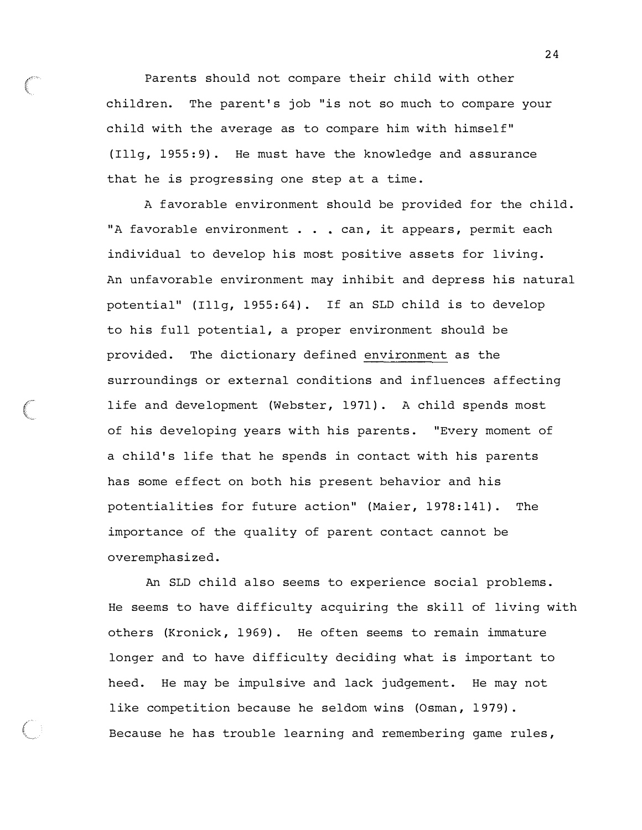Parents should not compare their child with other children. The parent's job "is not so much to compare your child with the average as to compare him with himself" (Illg, 1955:9). He must have the knowledge and assurance that he is progressing one step at a time.

A favorable environment should be provided for the child. "A favorable environment . . . can, it appears, permit each individual to develop his most positive assets for living. An unfavorable environment may inhibit and depress his natural potential" (Illg, 1955:64). If an SLD child is to develop to his full potential, a proper environment should be provided. The dictionary defined environment as the surroundings or external conditions and influences affecting life and development (Webster, 1971). A child spends most of his developing years with his parents . "Every moment of a child's life that he spends in contact with his parents has some effect on both his present behavior and his potentialities for future action" (Maier, 1978:141). The importance of the quality of parent contact cannot be overemphasized .

An SLD child also seems to experience social problems . He seems to have difficulty acquiring the skill of living with others (Kronick, 1969). He often seems to remain immature longer and to have difficulty deciding what is important to heed. He may be impulsive and lack judgement. He may not like competition because he seldom wins (Osman, 1979). Because he has trouble learning and remembering game rules ,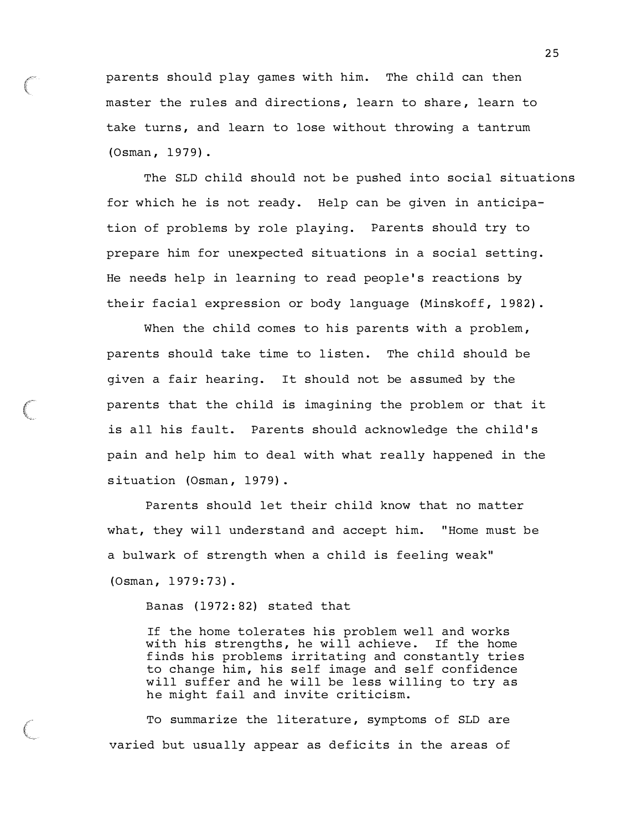parents should play games with him. The child can then master the rules and directions, learn to share, learn to take turns, and learn to lose without throwing a tantrum (Osman , 1979) .

The SLD child should not be pushed into social situations for which he is not ready. Help can be given in anticipation of problems by role playing. Parents should try to prepare him for unexpected situations in a social setting . He needs help in learning to read people 's reactions by their facial expression or body language (Minskoff, 1982).

When the child comes to his parents with a problem, parents should take time to listen. The child should be given a fair hearing. It should not be assumed by the parents that the child is imagining the problem or that it is all his fault. Parents should acknowledge the child's pain and help him to deal with what really happened in the situation (Osman, 1979).

Parents should let their child know that no matter what, they will understand and accept him. "Home must be a bulwark of strength when a child is feeling weak" (Osman, 1979:73).

Banas ( 1972:82) stated that

If the home tolerates his problem well and works with his strengths, he will achieve. If the home finds his problems irritating and constantly tries to change him, his self image and self confidence will suffer and he will be less willing to try as he might fail and invite criticism.

To summarize the literature, symptoms of SLD are varied but usually appear as deficits in the areas of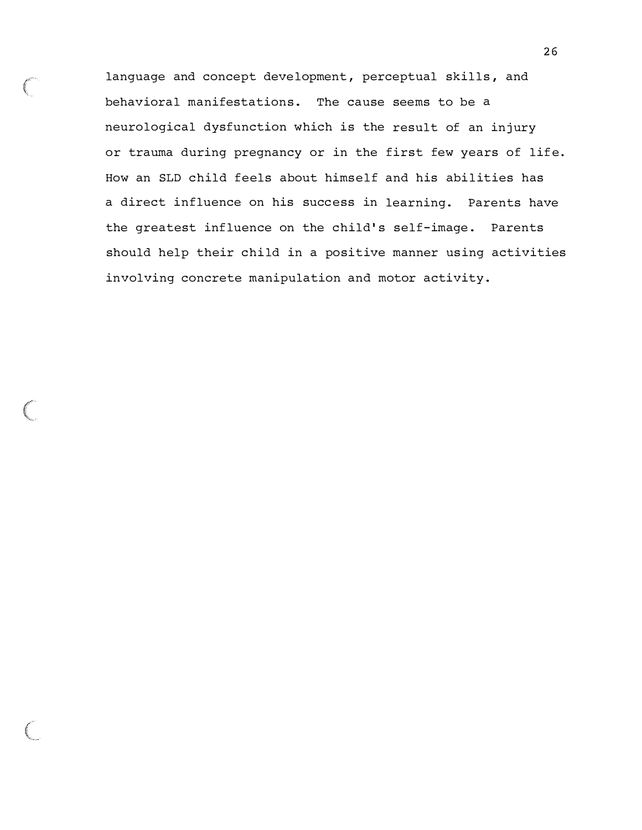language and concept development, perceptual skills, and behavioral manifestations. The cause seems to be a neurological dysfunction which is the result of an injury or trauma during pregnancy or in the first few years of life. How an SLD child feels about himself and his abilities has a direct influence on his success in learning. Parents have the greatest influence on the child's self-image. Parents should help their child in a positive manner using activities involving concrete manipulation and motor activity .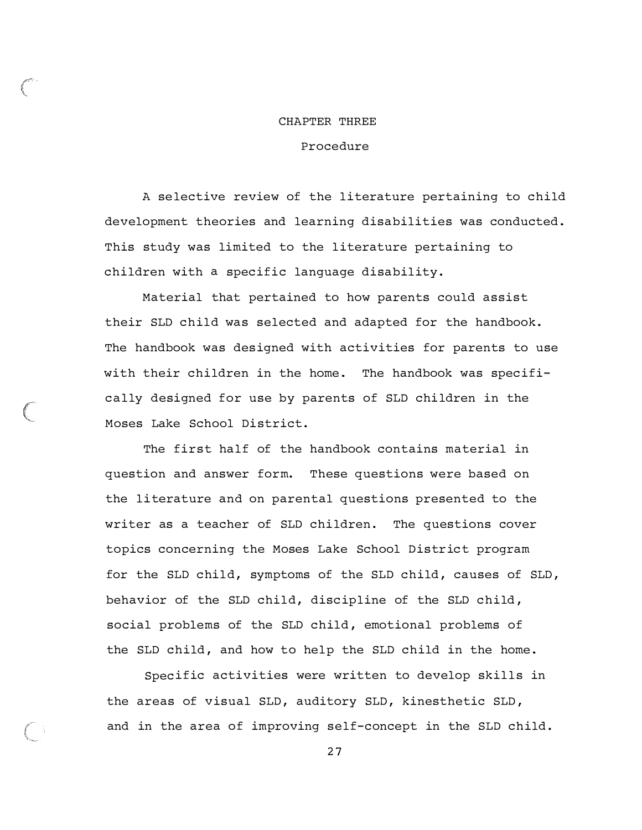#### CHAPTER THREE

#### Procedure

A selective review of the literature pertaining to child development theories and learning disabilities was conducted . This study was limited to the literature pertaining to children with a specific language disability.

Material that pertained to how parents could assist their SLD child was selected and adapted for the handbook . The handbook was designed with activities for parents to use with their children in the home. The handbook was specifically designed for use by parents of SLD children in the Moses Lake School District .

The first half of the handbook contains material in question and answer form. These questions were based on the literature and on parental questions presented to the writer as a teacher of SLD children. The questions cover topics concerning the Moses Lake School District program for the SLD child, symptoms of the SLD child, causes of SLD, behavior of the SLD child, discipline of the SLD child, social problems of the SLD child, emotional problems of the SLD child, and how to help the SLD child in the home.

Specific activities were written to develop skills in the areas of visual SLD, auditory SLD, kinesthetic SLD, and in the area of improving self-concept in the SLD child.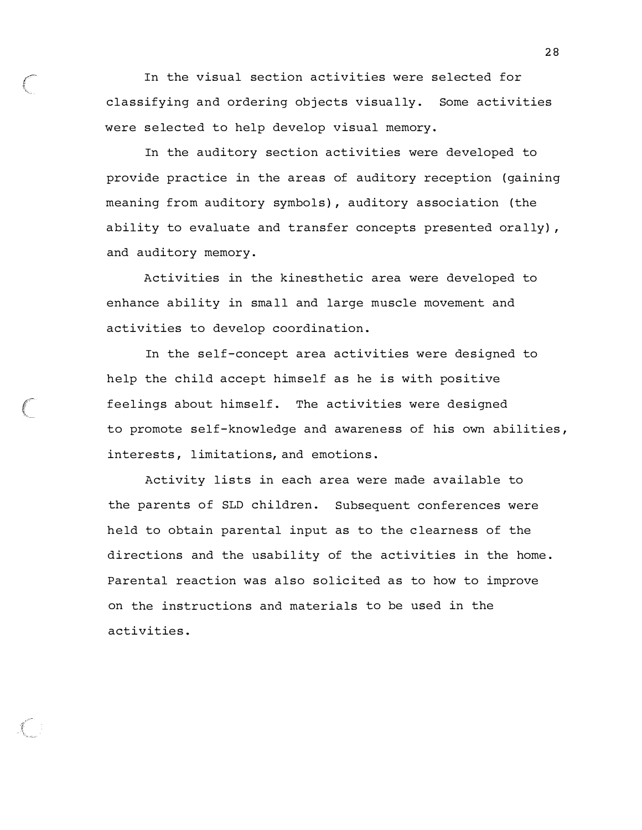In the visual section activities were selected for classifying and ordering objects visually. Some activities were selected to help develop visual memory.

In the auditory section activities were developed to provide practice in the areas of auditory reception ( gaining meaning from auditory symbols), auditory association ( the ability to evaluate and transfer concepts presented orally) , and auditory memory .

Activities in the kinesthetic area were developed to enhance ability in small and large muscle movement and activities to develop coordination.

In the self-concept area activities were designed to help the child accept himself as he is with positive feelings about himself. The activities were designed to promote self-knowledge and awareness of his own abilities , interests, limitations, and emotions.

Activity lists in each area were made available to the parents of SLD children. Subsequent conferences were held to obtain parental input as to the clearness of the directions and the usability of the activities in the home . Parental reaction was also solicited as to how to improve on the instructions and materials to be used in the activities .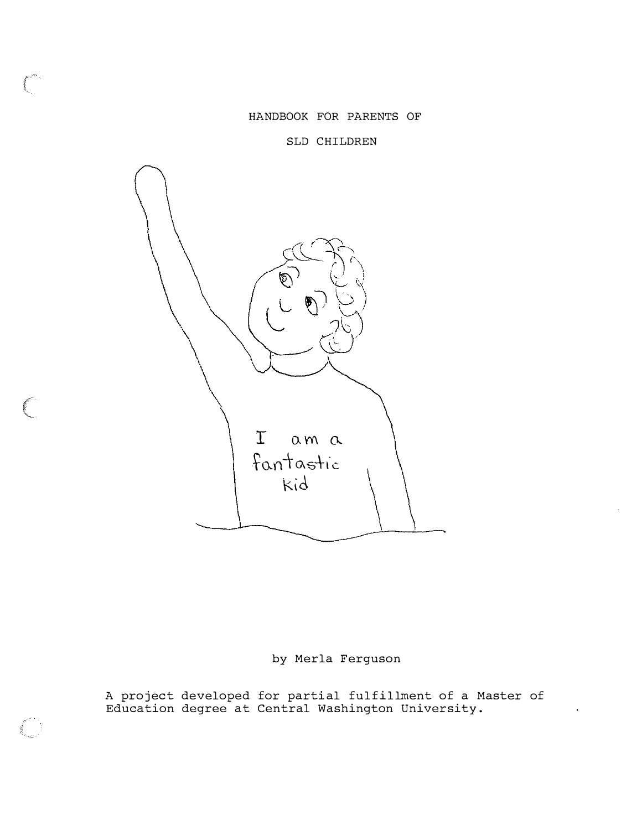HANDBOOK FOR PARENTS OF

SLD CHILDREN



# by Merla Ferguson

A project developed for partial fulfillment of a Master of Education degree at Central Washington University .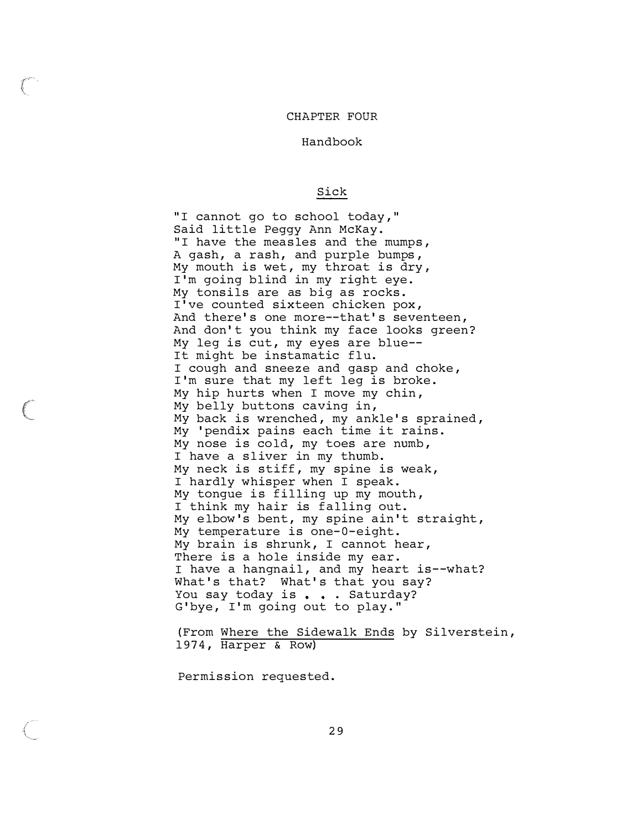#### CHAPTER FOUR

Handbook

#### Sick

"I cannot go to school today," Said little Peggy Ann McKay. "I have the measles and the mumps, A gash, a rash, and purple bumps, My mouth is wet, my throat is dry, I'm going blind in my right eye. My tonsils are as big as rocks . I've counted sixteen chicken pox, And there's one more--that's seventeen, And don't you think my face looks green? My leg is cut, my eyes are blue--It might be instamatic flu. I cough and sneeze and gasp and choke , I'm sure that my left leg is broke. My hip hurts when I move my chin , My belly buttons caving in , My back is wrenched, my ankle's sprained, My ' pendix pains each time it rains . My nose is cold, my toes are numb, I have a sliver in my thumb. My neck is stiff, my spine is weak, I hardly whisper when I speak . My tonque is filling up my mouth, I think my hair is falling out. My elbow's bent, my spine ain't straight, My temperature is one-0-eight. My brain is shrunk, I cannot hear, There is a hole inside my ear. I have a hangnail, and my heart is--what? What's that? What's that you say? You say today is . . . Saturday? G'bye, I'm going out to play."

( From Where the Sidewalk Ends by Silverstein , 1974 , Harper & Row)

Permission requested.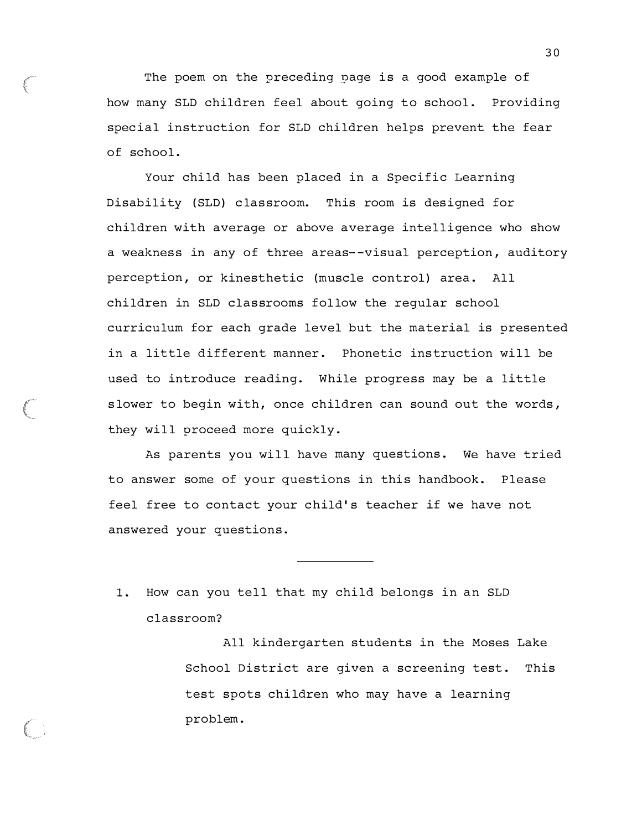The poem on the preceding page is a good example of how many SLD children feel about going to school. Providing special instruction for SLD children helps prevent the fear of school.

Your child has been placed in a Specific Learning Disability (SLD) classroom. This room is designed for children with average or above average intelligence who show a weakness in any of three areas--visual perception, auditory perception, or kinesthetic (muscle control) area. All children in SLD classrooms follow the regular school curriculum for each grade level but the material is presented in a little different manner. Phonetic instruction will be used to introduce reading. While progress may be a little slower to begin with, once children can sound out the words, they will proceed more quickly.

As parents you will have many questions. We have tried to answer some of your questions in this handbook. Please feel free to contact your child's teacher if we have not answered your questions.

1. How can you tell that my child belongs in an SLD classroom?

> All kindergarten students in the Moses Lake School District are given a screening test. This test spots children who may have a learning problem .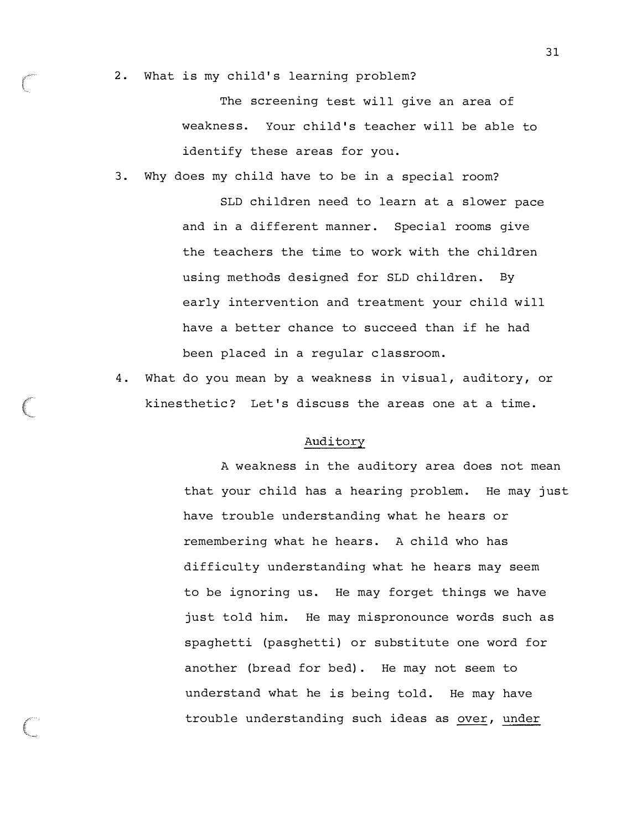2. What is my child's learning problem?

The screening test will give an area of weakness. Your child's teacher will be able to identify these areas for you.

3. Why does my child have to be in a special room?

SLD children need to learn at a slower pace and in a different manner. Special rooms give the teachers the time to work with the chi ldren using methods designed for SLD children. By early intervention and treatment your child will have a better chance to succeed than if he had been placed in a regular classroom.

4. What do you mean by a weakness in visual, auditory, or kinesthetic? Let's discuss the areas one at a time.

#### Auditory

A weakness in the auditory area does not mean that your child has a hearing problem. He may just have trouble understanding what he hears or remembering what he hears. A child who has difficulty understanding what he hears may seem to be ignoring us. He may forget things we have just told him. He may mispronounce words such as spaghetti (pasghetti) or substitute one word for another (bread for bed) . He may not seem to understand what he is being told. He may have trouble understanding such ideas as over, under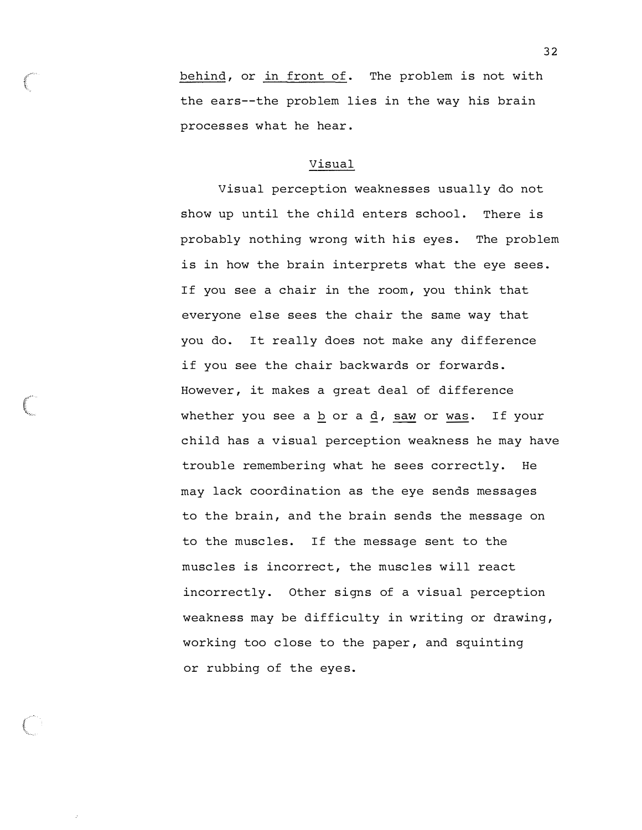behind, or in front of. The problem is not with the ears--the problem lies in the way his brain processes what he hear .

### Visual

Visual perception weaknesses usually do not show up until the child enters school. There is probably nothing wrong with his eyes. The problem is in how the brain interprets what the eye sees . If you see a chair in the room, you think that everyone else sees the chair the same way that you do. It really does not make any difference if you see the chair backwards or forwards . However, it makes a great deal of difference whether you see a b or a  $d$ , saw or was. If your child has a visual perception weakness he may have trouble remembering what he sees correctly. He may lack coordination as the eye sends messages to the brain , and the brain sends the message on to the muscles. If the message sent to the muscles is incorrect, the muscles will react incorrectly. Other signs of a visual perception weakness may be difficulty in writing or drawing , working too close to the paper, and squinting or rubbing of the eyes.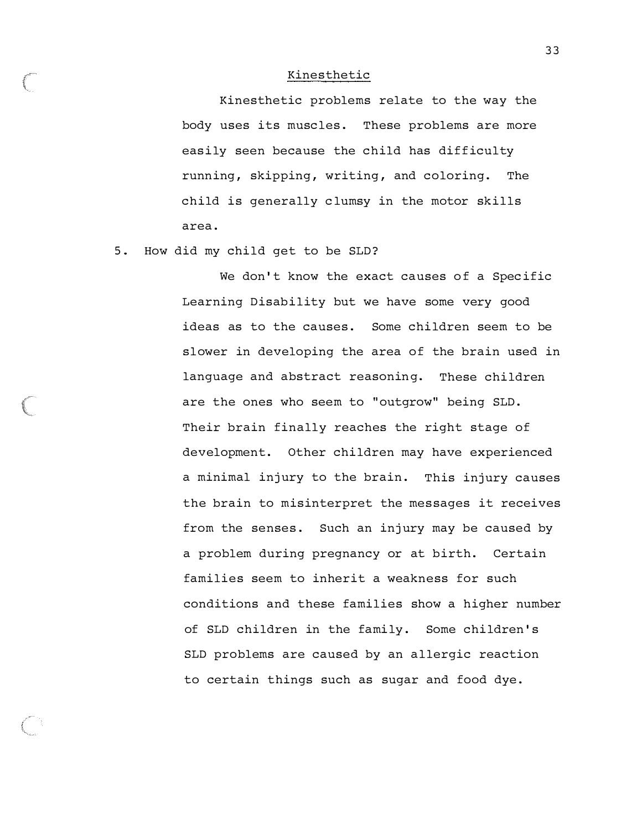#### Kinesthetic

Kinesthetic problems relate to the way the body uses its muscles. These problems are more easily seen because the child has difficulty running, skipping, writing, and coloring. The child is generally c lumsy in the motor skills area .

5. How did my child get to be SLD?

We don't know the exact causes of a Specific Learning Disability but we have some very good ideas as to the causes. Some children seem to be slower in developing the area of the brain used in language and abstract reasoning. These children are the ones who seem to "outgrow" being SLD . Their brain finally reaches the right stage of development. Other children may have experienced a minimal injury to the brain. This injury causes the brain to misinterpret the messages it receives from the senses. Such an injury may be caused by a problem during pregnancy or at birth. Certain families seem to inherit a weakness for such conditions and these families show a higher number of SLD children in the family. Some children's SLD problems are caused by an allergic reaction to certain things such as sugar and food dye .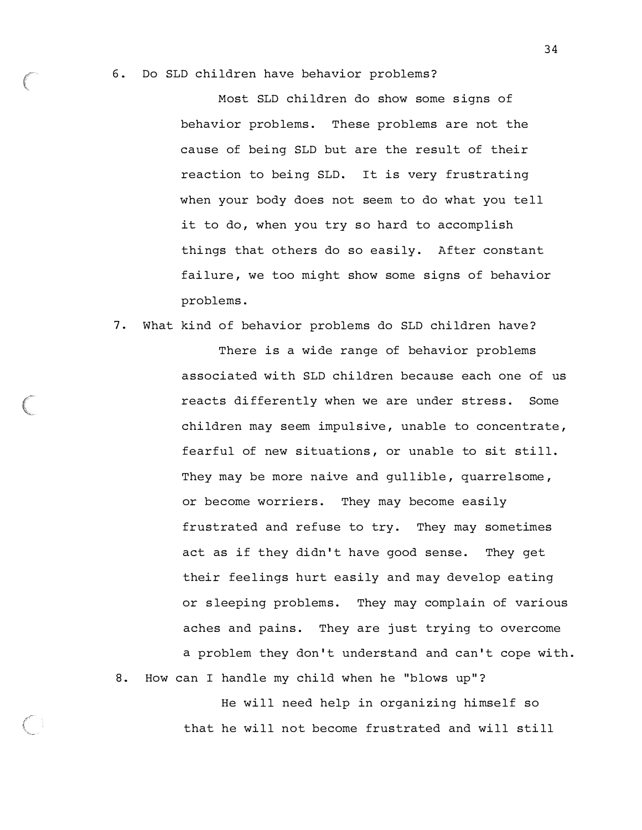#### 6. Do SLD children have behavior problems ?

Most SLD children do show some signs of behavior problems . These problems are not the cause of being SLD but are the result of their reaction to being SLD. It is very frustrating when your body does not seem to do what you tell it to do, when you try so hard to accomplish things that others do so easily. After constant failure, we too might show some signs of behavior problems .

#### 7. What kind of behavior problems do SLD children have?

There is a wide range of behavior problems associated with SLD children because each one of us reacts differently when we are under stress. Some children may seem impulsive, unable to concentrate, fearful of new situations, or unable to sit still. They may be more naive and qullible, quarrelsome, or become worriers. They may become easily frustrated and refuse to try. They may sometimes act as if they didn't have good sense. They get their feelings hurt easily and may develop eating or sleeping problems. They may complain of various aches and pains. They are just trying to overcome a problem they don't understand and can't cope with .

8. How can I handle my child when he "blows up"?

He will need help in organizing himself so that he will not become frustrated and will still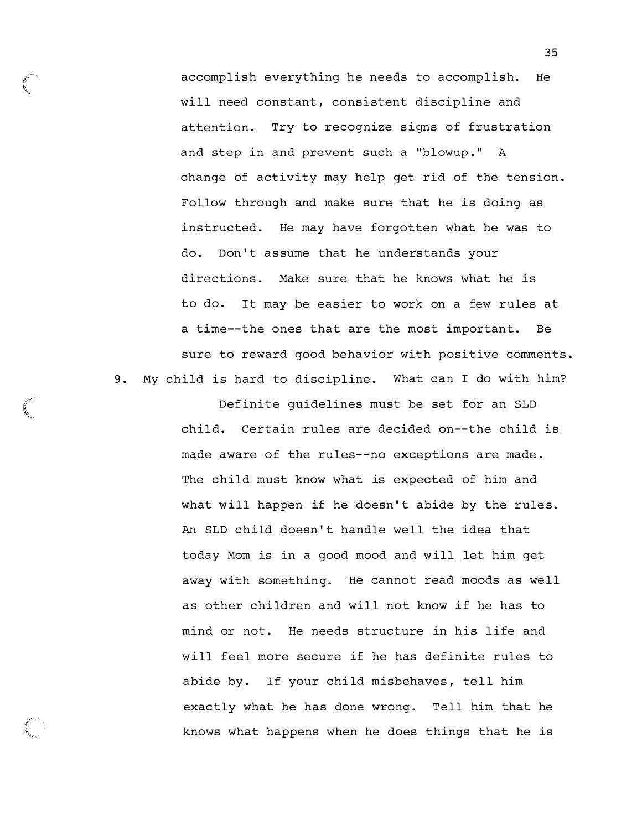accomplish everything he needs to accomplish. He will need constant, consistent discipline and attention. Try to recognize signs of frustration and step in and prevent such a "blowup." A change of activity may help get rid of the tension . Follow through and make sure that he is doing as instructed. He may have forgotten what he was to do. Don't assume that he understands your directions. Make sure that he knows what he is to do. It may be easier to work on a few rules at a time--the ones that are the most important. Be sure to reward good behavior with positive comments . 9. My child is hard to discipline. What can I do with him?

> Definite guidelines must be set for an SLD child. Certain rules are decided on--the child is made aware of the rules--no exceptions are made . The child must know what is expected of him and what will happen if he doesn't abide by the rules. An SLD child doesn 't handle well the idea that today Mom is in a good mood and will let him get away with something. He cannot read moods as well as other children and will not know if he has to mind or not. He needs structure in his life and will feel more secure if he has definite rules to abide by. If your child misbehaves, tell him exactly what he has done wrong. Tell him that he knows what happens when he does things that he is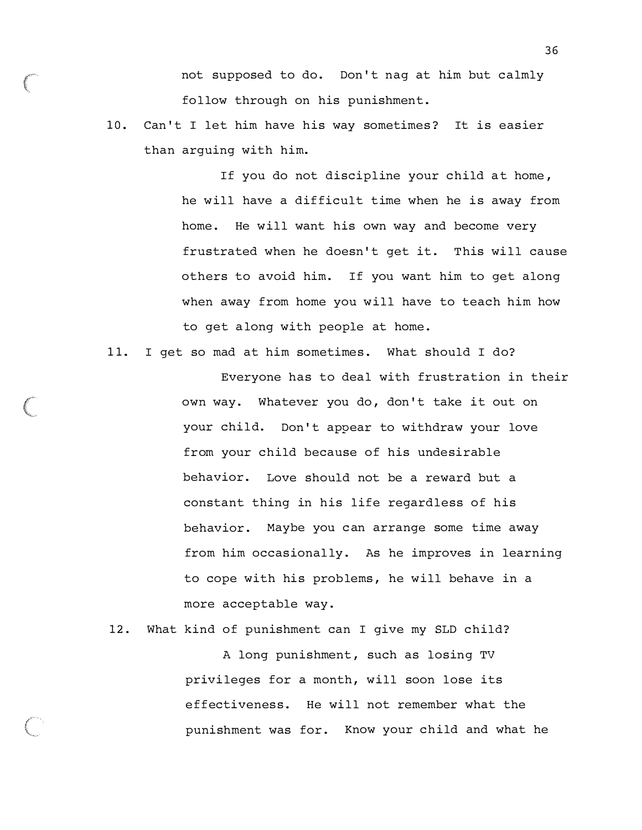not supposed to do. Don't nag at him but calmly follow through on his punishment.

10. Can't I let him have his way sometimes? It is easier than arguing with him.

> If you do not discipline your child at home, he will have a difficult time when he is away from home. He will want his own way and become very frustrated when he doesn't get it. This will cause others to avoid him. If you want him to get along when away from home you will have to teach him how to get along with people at home.

11. I get so mad at him sometimes. What should I do?

Everyone has to deal with frustration in their own way. Whatever you do, don't take it out on your child. Don 't appear to withdraw your love from your child because of his undesirable behavior. Love should not be a reward but a constant thing in his life regardless of his behavior. Maybe you can arrange some time away from him occasionally. As he improves in learning to cope with his problems, he will behave in a more acceptable way .

12. What kind of punishment can I give my SLD child?

A long punishment, such as losing TV privileges for a month, will soon lose its effectiveness. He will not remember what the punishment was for. Know your child and what he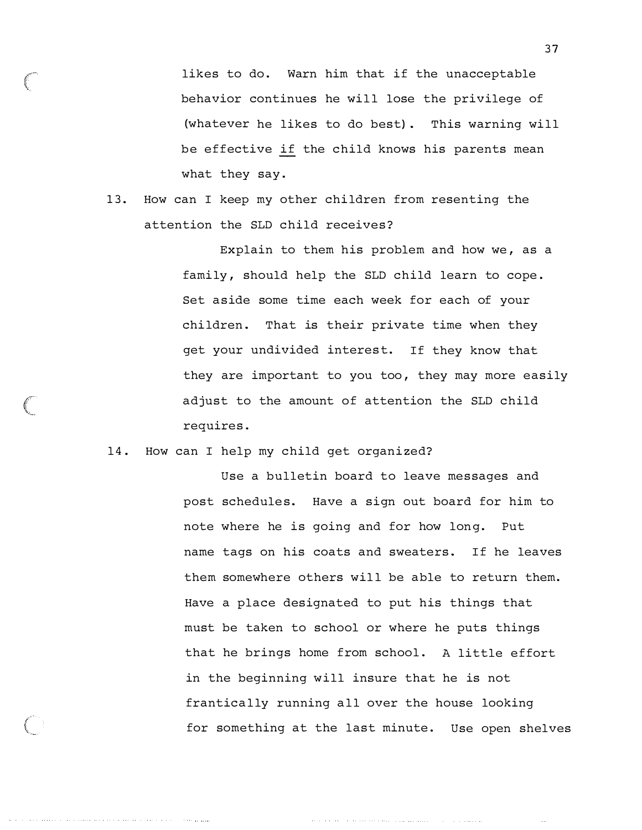likes to do. Warn him that if the unacceptable behavior continues he will lose the privilege of (whatever he likes to do best) . This warning will be effective if the child knows his parents mean what they say.

13. How can I keep my other children from resenting the attention the SLD child receives?

> Explain to them his problem and how we, as a family, should help the SLD child learn to cope. Set aside some time each week for each of your children. That is their private time when they get your undivided interest. If they know that they are important to you too, they may more easily adjust to the amount of attention the SLD child requires .

#### 14. How can I help my child get organized?

a da carra de la componencia de la carra de la carra de la carra de la carra de

The Committee States

Use a bulletin board to leave messages and post schedules. Have a sign out board for him to note where he is going and for how long. Put name tags on his coats and sweaters. If he leaves them somewhere others will be able to return them. Have a place designated to put his things that must be taken to school or where he puts things that he brings home from school. A little effort in the beginning will insure that he is not frantically running all over the house looking for something at the last minute. Use open shelves

and the state of the state and a state of the state and the

the committee of the committee

 $\sim$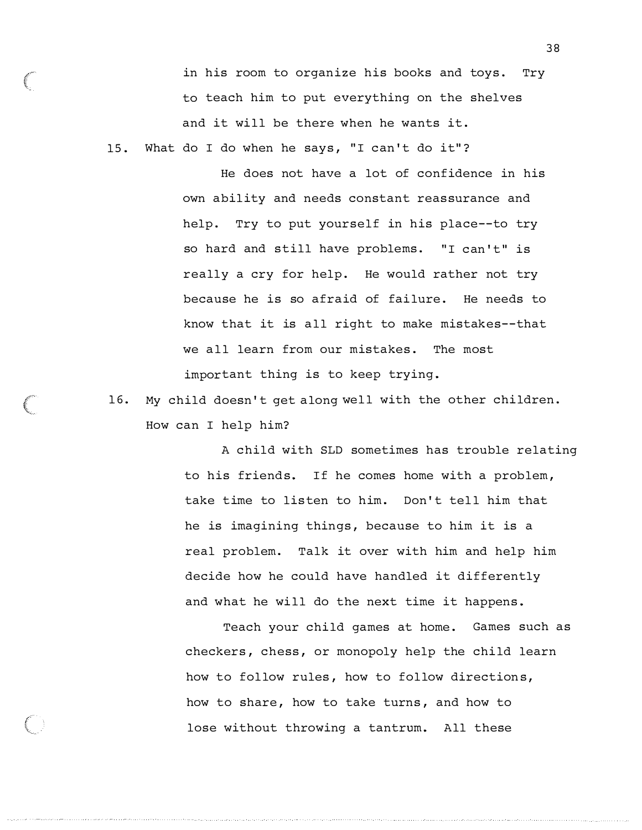in his room to organize his books and toys. Try to teach him to put everything on the shelves and it will be there when he wants it.

15. What do I do when he says, "I can't do it"?

He does not have a lot of confidence in his own ability and needs constant reassurance and help. Try to put yourself in his place--to try so hard and still have problems. "I can't" is really a cry for help. He would rather not try because he is so afraid of failure. He needs to know that it is all right to make mistakes--that we all learn from our mistakes. The most important thing is to keep trying.

16. My child doesn 't get along well with the other children . How can I help him?

> A child with SLD sometimes has trouble relating to his friends. If he comes home with a problem , take time to listen to him. Don 't tell him that he is imagining things, because to him it is a real problem. Talk it over with him and help him decide how he could have handled it differently and what he will do the next time it happens .

Teach your child games at home. Games such as checkers , chess , or monopoly help the child learn how to follow rules, how to follow directions, how to share, how to take turns, and how to lose without throwing a tantrum. All these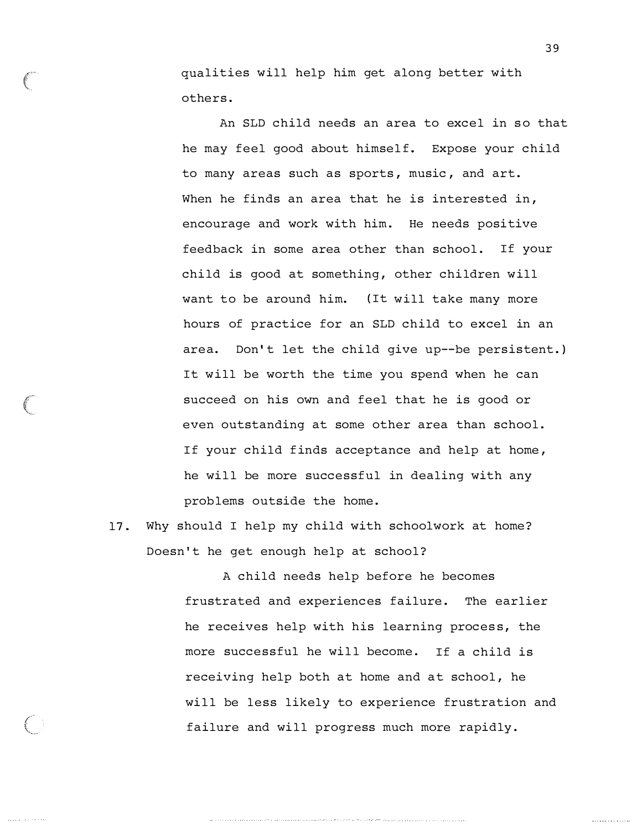qualities will help him get along better with others .

An SLD child needs an area to excel in so that he may feel good about himself. Expose your child to many areas such as sports, music, and art. When he finds an area that he is interested in, encourage and work with him. He needs positive feedback in some area other than school. If your child is good at something, other children will want to be around him. ( It will take many more hours of practice for an SLD child to excel in an area. Don't let the child give up--be persistent.) It will be worth the time you spend when he can succeed on his own and feel that he is good or even outstanding at some other area than school. If your child finds acceptance and help at home, he will be more successful in dealing with any problems outside the home.

17. Why should I help my child with schoolwork at home? Doesn 't he get enough help at school?

> A child needs help before he becomes frustrated and experiences failure. The earlier he receives help with his learning process, the more successful he will become. If a child is receiving help both at home and at school, he will be less likely to experience frustration and failure and will progress much more rapidly .

39

. . . . . . . . . . . . . .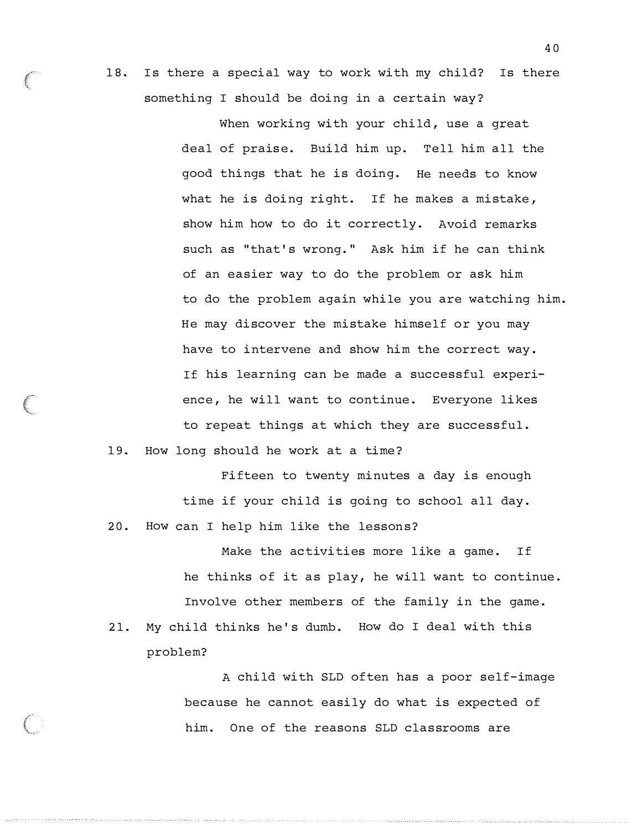18. Is there a special way to work with my child? Is there something I should be doing in a certain way?

> When working with your child, use a great deal of praise. Build him up. Tell him all the good things that he is doing. He needs to know what he is doing right. If he makes a mistake, show him how to do it correctly. Avoid remarks such as "that's wrong." Ask him if he can think of an easier way to do the problem or ask him to do the problem again while you are watching him. He may discover the mistake himself or you may have to intervene and show him the correct way . If his learning can be made a successful experience, he will want to continue. Everyone likes to repeat things at which they are successful .

19. How long should he work at a time?

(<br>Externa

Fifteen to twenty minutes a day is enough time if your child is going to school all day. 20. How can I help him like the lessons?

Make the activities more like a game. If he thinks of it as play, he will want to continue. Involve other members of the family in the game . 21. My child thinks he's dumb. How do I deal with this problem?

> A child with SLD often has a poor self-image because he cannot easily do what is expected of him. One of the reasons SLD classrooms are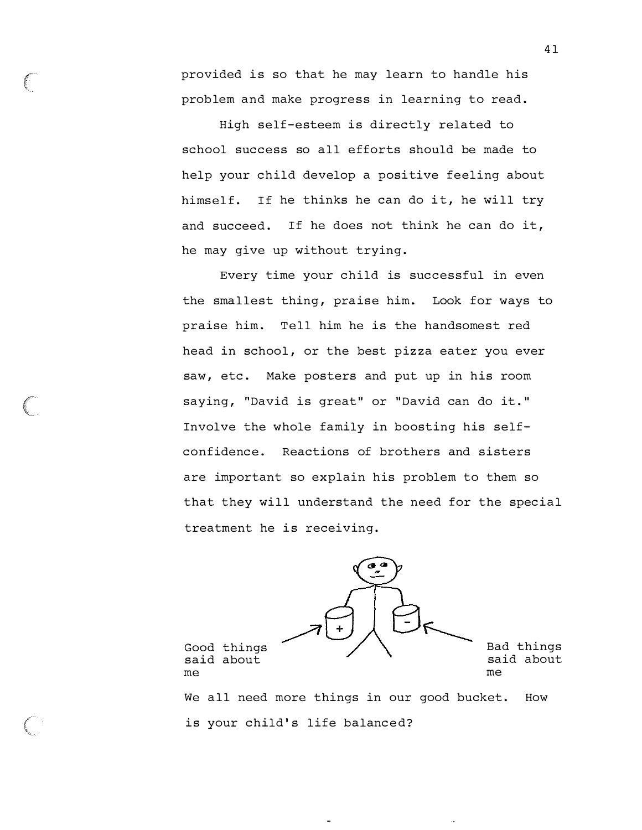provided is so that he may learn to handle his problem and make progress in learning to read .

High self-esteem is directly related to school success so all efforts should be made to help your child develop a positive feeling about himself. If he thinks he can do it, he will try and succeed. If he does not think he can do it, he may give up without trying .

Every time your child is successful in even the smallest thing, praise him. Look for ways to praise him. Tell him he is the handsomest red head in school, or the best pizza eater you ever saw, etc. Make posters and put up in his room saying, "David is great" or "David can do it." Involve the whole family in boosting his selfconfidence. Reactions of brothers and sisters are important so explain his problem to them so that they will understand the need for the special treatment he is receiving.



is your child's life balanced?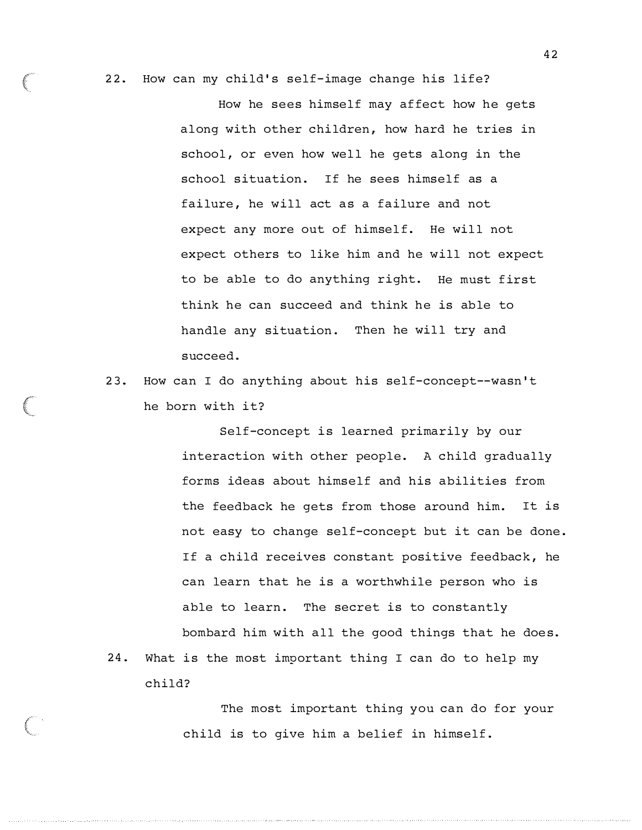22. How can my child's self-image change his life?

How he sees himself may affect how he gets along with other children, how hard he tries in school, or even how well he gets along in the school situation. If he sees himself as a failure, he will act as a failure and not expect any more out of himself. He will not expect others to like him and he will not expect to be able to do anything right. He must first think he can succeed and think he is able to handle any situation. Then he will try and succeed .

23. How can I do anything about his self-concept--wasn 't he born with it?

Self-concept is learned primarily by our interaction with other people. A child gradually forms ideas about himself and his abilities from the feedback he gets from those around him. It is not easy to change self-concept but it can be done . If a child receives constant positive feedback, he can learn that he is a worthwhile person who is able to learn. The secret is to constantly bombard him with all the good things that he does. 24. What is the most important thing I can do to help my

child?

The most important thing you can do for your child is to give him a belief in himself .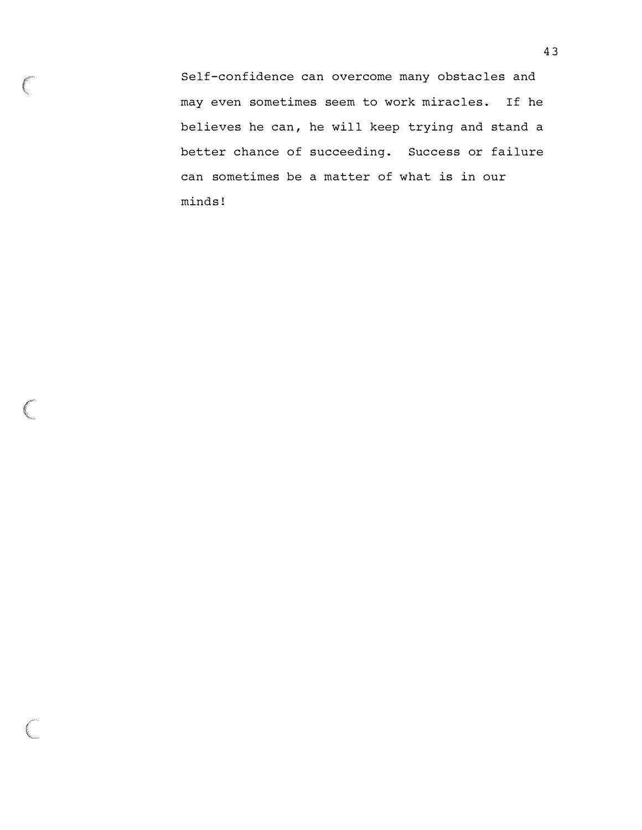Self-confidence can overcome many obstac les and may even sometimes seem to work miracles. If he believes he can, he will keep trying and stand a better chance of succeeding. Success or failure can sometimes be a matter of what is in our minds !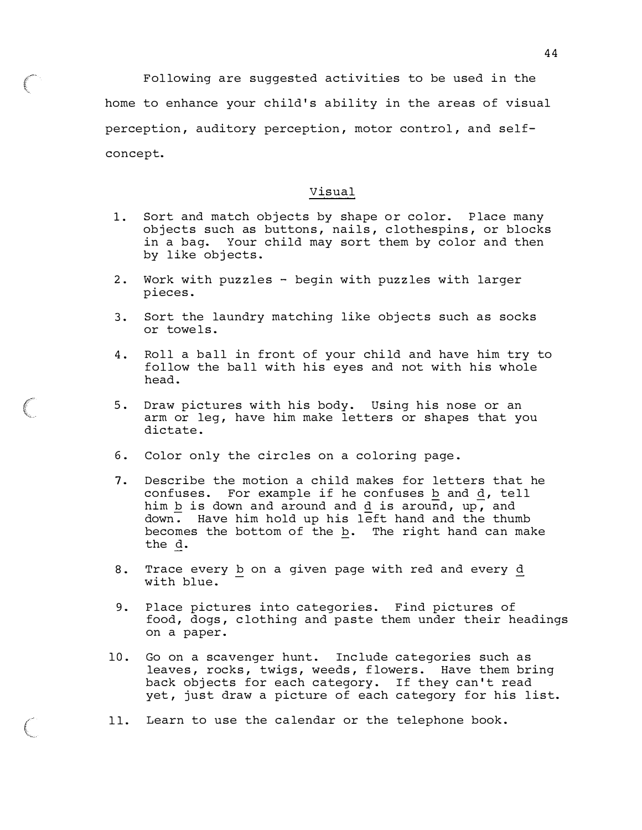Following are suggested activities to be used in the home to enhance your child's ability in the areas of visual perception, auditory perception, motor control, and selfconcept.

#### Visual

- 1. Sort and match objects by shape or color. Place many objects such as buttons, nails, clothespins, or blocks in a bag. Your child may sort them by color and then by like objects.
- 2. Work with puzzles begin with puzzles with larger pieces .
- 3. Sort the laundry matching like objects such as socks or towels .
- 4. Roll a ball in front of your child and have him try to follow the ball with his eyes and not with his whole head .
- 5. Draw pictures with his body. Using his nose or an arm or leg, have him make letters or shapes that you dictate.
- 6. Color only the circles on a coloring page .
- 7. Describe the motion a child makes for letters that he confuses. For example if he confuses  $b$  and  $d$ , tell him  $\underline{b}$  is down and around and  $\underline{d}$  is around, up, and down. Have him hold up his left hand and the thumb becomes the bottom of the b. The right hand can make the d.
- 8. Trace every b on a given page with red and every d with blue.
- 9. Place pictures into categories. Find pictures of food, dogs, clothing and paste them under their headings on a paper .
- 10. Go on a scavenger hunt. Include categories such as leaves, rocks, twigs, weeds, flowers. Have them bring back objects for each category. If they can't read yet, just draw a picture of each category for his list.
- 11. Learn to use the calendar or the telephone book .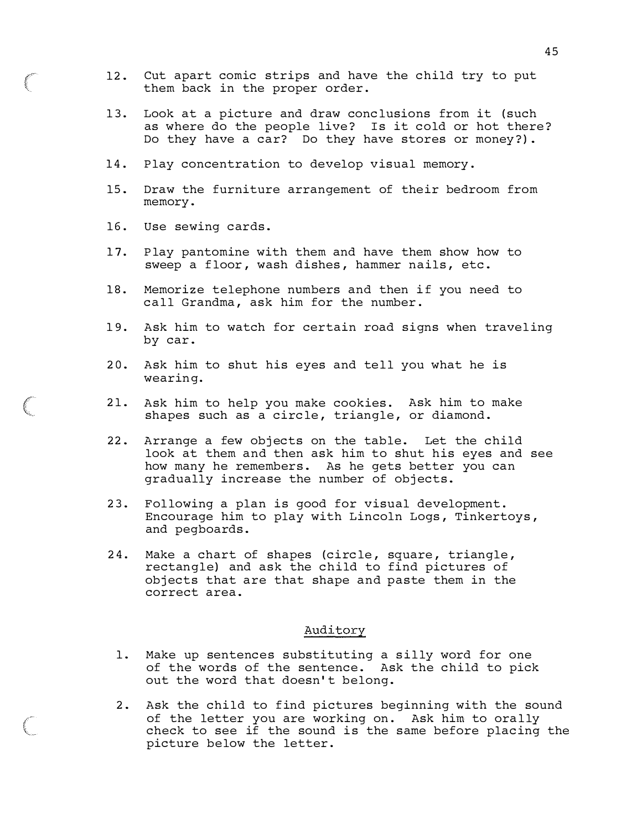- 12. Cut apart comic strips and have the child try to put them back in the proper order.
- 13. Look at a picture and draw conclusions from it (such as where do the people live? Is it cold or hot there? Do they have a car? Do they have stores or money?) .
- 14. Play concentration to develop visual memory.
- 15. Draw the furniture arrangement of their bedroom from memory .
- 16. Use sewing cards.
- 17. Play pantomine with them and have them show how to sweep a floor, wash dishes, hammer nails, etc.
- 18. Memorize telephone numbers and then if you need to call Grandma, ask him for the number.
- 19. Ask him to watch for certain road signs when traveling by car.
- 20. Ask him to shut his eyes and tell you what he is wearing.
- 21. Ask him to help you make cookies. Ask him to make shapes such as a circle, triangle, or diamond.
- 22. Arrange a few objects on the table. Let the child look at them and then ask him to shut his eyes and see how many he remembers. As he gets better you can gradually increase the number of objects.
- 23. Following a plan is good for visual development. Encourage him to play with Lincoln Logs , Tinkertoys , and pegboards .
- 24. Make a chart of shapes (circle, square, triangle, rectangle) and ask the child to find pictures of obj ects that are that shape and paste them in the correct area .

#### Auditory

- 1. Make up sentences substituting a silly word for one of the words of the sentence. Ask the child to pick out the word that doesn't belong.
- 2. Ask the child to find pictures beginning with the sound of the letter you are working on . Ask him to orally check to see if the sound is the same before placing the picture below the letter.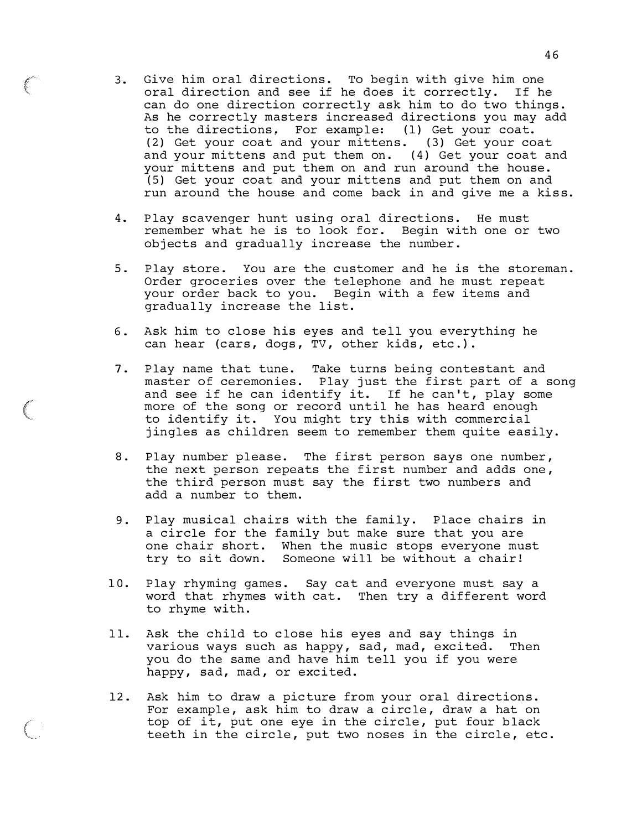3. Give him oral directions. To begin with give him one oral direction and see if he does it correctly. If he can do one direction correctly ask him to do two things. As he correctly masters increased directions you may add to the directions, For example: (1) Get your coat. (2) Get your coat and your mittens . (3) Get your coat and your mittens and put them on. (4) Get your coat and your mittens and put them on and run around the house. (5) Get your coat and your mittens and put them on and run around the house and come back in and give me a kiss.

 $\epsilon$ 

(

- 4. Play scavenger hunt using oral directions. He must remember what he is to look for. Begin with one or two objects and gradually increase the number.
- 5. Play store. You are the customer and he is the storeman. Order groceries over the telephone and he must repeat your order back to you. Begin with a few items and gradually increase the list.
- 6. Ask him to close his eyes and tell you everything he can hear (cars, dogs, TV, other kids, etc.).
- 7. Play name that tune. Take turns being contestant and master of ceremonies. Play just the first part of a song and see if he can identify it. If he can't, play some more of the song or record until he has heard enough to identify it. You might try this with commercial jingles as children seem to remember them quite easily.
- 8. Play number please. The first person says one number, the next person repeats the first number and adds one , the third person must say the first two numbers and add a number to them.
- 9. Play musical chairs with the family. Place chairs in a circle for the family but make sure that you are one chair short. When the music stops everyone must try to sit down. Someone will be without a chair!
- 10. Play rhyming games. Say cat and everyone must say a word that rhymes with cat. Then try a different word to rhyme with.
- 11. Ask the child to close his eyes and say things in various ways such as happy, sad, mad, excited. Then you do the same and have him tell you if you were happy, sad, mad, or excited.
- 12. Ask him to draw a picture from your oral directions. For example, ask him to draw a circle, draw a hat on top of it, put one eye in the circle, put four black teeth in the circle, put two noses in the circle, etc.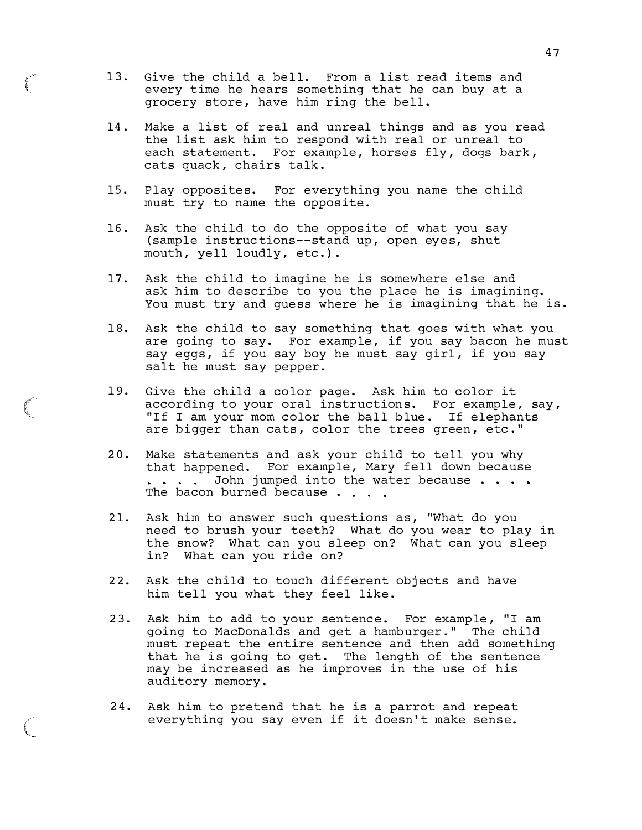- 13. Give the child a bell. From a list read items and every time he hears something that he can buy at a grocery store, have him ring the bell.
- 14 . Make a list of real and unreal things and as you read the list ask him to respond with real or unreal to each statement. For example, horses fly, dogs bark, cats quack, chairs talk.
- 15. Play opposites. For everything you name the child must try to name the opposite .
- 16. Ask the child to do the opposite of what you say (sample instructions--stand up, open eyes, shut mouth, yell loudly, etc.).
- 17. Ask the child to imagine he is somewhere else and ask him to describe to you the place he is imagining. You must try and quess where he is imagining that he is.
- 18. Ask the child to say something that goes with what you are going to say. For example, if you say bacon he must say eggs, if you say boy he must say girl, if you say salt he must say pepper.
- 19. Give the child a color page . Ask him to color it according to your oral instructions. For example, say, "If I am your mom color the ball blue. If elephants are bigger than cats, color the trees green, etc."
- 20. Make statements and ask your child to tell you why that happened. For example, Mary fell down because . . . . John jumped into the water because . . . . The bacon burned because..
- 21. Ask him to answer such questions as, "What do you need to brush your teeth? What do you wear to play in the snow? What can you sleep on? What can you sleep in? What can you ride on?
- 22. Ask the child to touch different objects and have him tell you what they feel like.
- 23. Ask him to add to your sentence. For example, "I am going to MacDonalds and get a hamburger ." The child must repeat the entire sentence and then add something that he is going to get. The length of the sentence may be increased as he improves in the use of his auditory memory .
- 24. Ask him to pretend that he is a parrot and repeat everything you say even if it doesn 't make sense.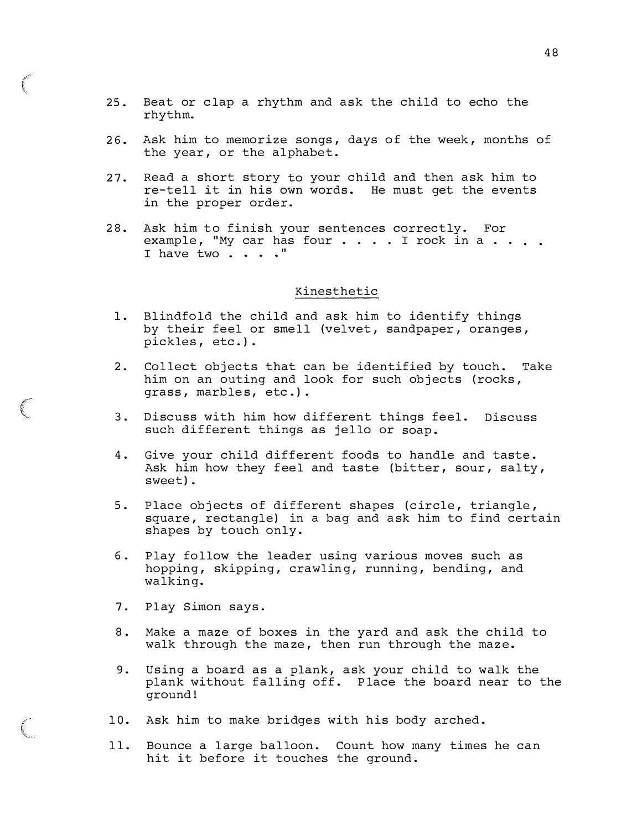- 25. Beat or clap a rhythm and ask the child to echo the rhythm.
- 26. Ask him to memorize songs, days of the week, months of the year, or the alphabet.
- 27. Read a short story to your child and then ask him to re-tell it in his own words. He must get the events in the proper order.
- 28. Ask him to finish your sentences correctly. For example, "My car has four  $\ldots$  . . . I rock in a  $\ldots$  . I have two . . . . "

#### Kinesthetic

- 1. Blindfold the child and ask him to identify things by their feel or smell (velvet, sandpaper, oranges, pickles, etc.).
- 2. Collect objects that can be identified by touch. Take him on an outing and look for such objects (rocks, grass , marbles, etc.) .
- 3. Discuss with him how different things feel. Discuss such different things as jello or soap.
- 4. Give your child different foods to handle and taste. Ask him how they feel and taste (bitter, sour, salty, sweet).
- 5. Place objects of different shapes (circle, triangle, square, rectangle) in a bag and ask him to find certain shapes by touch only.
- 6. Play follow the leader using various moves such as hopping, skipping, crawling, running, bending, and walking.
- 7. Play Simon says .
- 8. Make a maze of boxes in the yard and ask the child to walk through the maze, then run through the maze.
- 9. Using a board as a plank, ask your child to walk the plank without falling off. Place the board near to the ground !
- 10. Ask him to make bridges with his body arched .
- 11. Bounce a large balloon. Count how many times he can hit it before it touches the ground.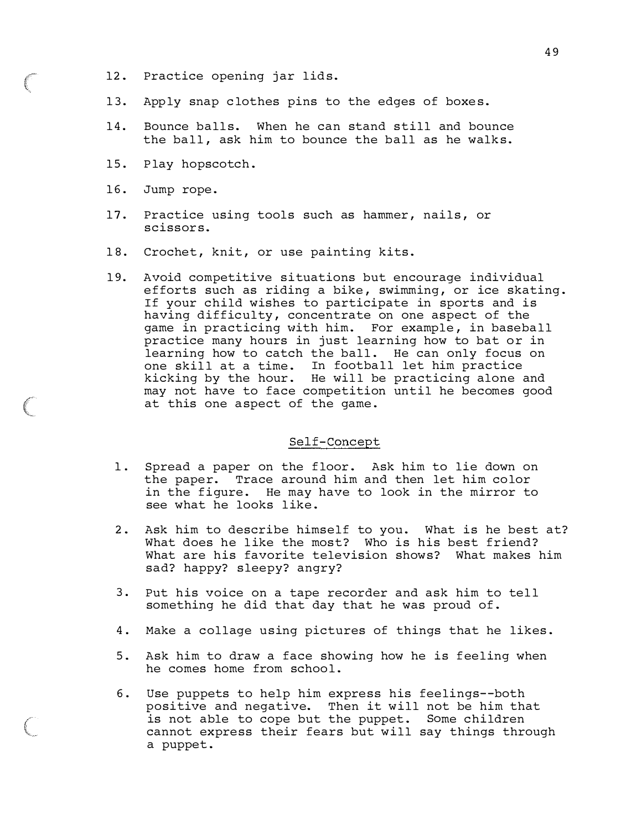- 12. Practice opening jar lids.
- 13. Apply snap clothes pins to the edges of boxes.
- 14. Bounce balls. When he can stand still and bounce the ball, ask him to bounce the ball as he walks.
- 15. Play hopscotch.
- 16. Jump rope.
- 17. Practice using tools such as hammer, nails, or scissors.
- 18. Crochet, knit, or use painting kits.
- 19. Avoid competitive situations but encourage individual efforts such as riding a bike, swimming, or ice skating. If your child wishes to participate in sports and is having difficulty, concentrate on one aspect of the game in practicing with him. For example, in baseball practice many hours in just learning how to bat or in learning how to catch the ball. He can only focus on one skill at a time. In football let him practice kicking by the hour. He will be practicing alone and may not have to face competition until he becomes good at this one aspect of the game.

#### Self-Concept

- 1. Spread a paper on the floor. Ask him to lie down on the paper. Trace around him and then let him color in the figure. He may have to look in the mirror to see what he looks like.
- 2. Ask him to describe himself to you. What is he best at? What does he like the most? Who is his best friend? What are his favorite television shows? What makes him sad? happy? sleepy? angry?
- 3. Put his voice on a tape recorder and ask him to tell something he did that day that he was proud of .
- 4. Make a collage using pictures of things that he likes .
- 5. Ask him to draw a face showing how he is feeling when he comes home from school.
- 6. Use puppets to help him express his feelings--both positive and negative. Then it will not be him that is not able to cope but the puppet. Some children cannot express their fears but will say things through a puppet.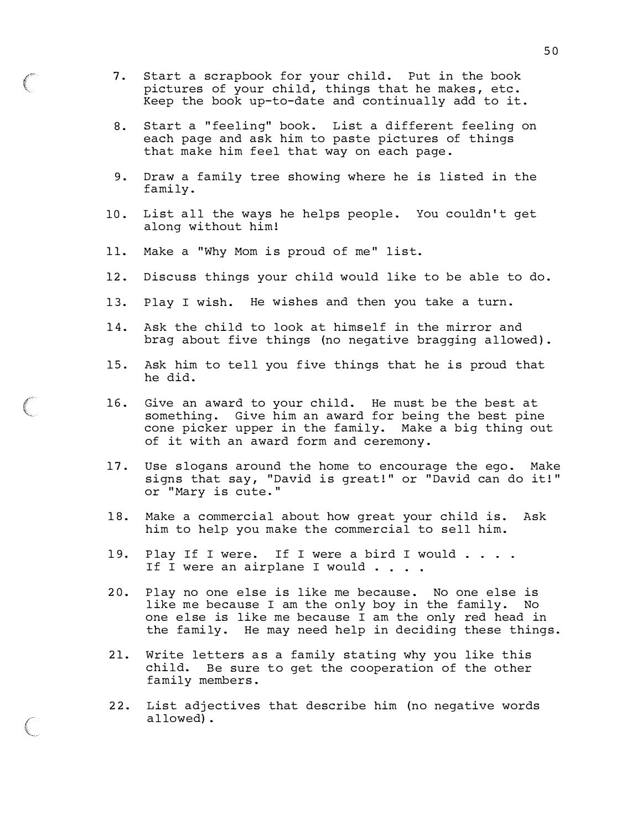- 7. Start a scrapbook for your child. Put in the book pictures of your child, things that he makes, etc. Keep the book up-to-date and continual ly add to it .
- 8. Start a "feeling" book. List a different feeling on each page and ask him to paste pictures of things that make him feel that way on each page .
- 9. Draw a family tree showing where he is listed in the fami ly.
- 10. List all the ways he helps people. You couldn't get along without him!
- 11. Make a "Why Mom is proud of me" list.
- 12. Discuss things your child would like to be able to do.
- 13. Play I wish. He wishes and then you take a turn.
- 14. Ask the child to look at himself in the mirror and brag about five things (no negative bragging allowed).
- 15. Ask him to tell you five things that he is proud that he did.
- 16. Give an award to your child. He must be the best at something. Give him an award for being the best pine cone picker upper in the family. Make a big thing out of it with an award form and ceremony .
- 17. Use slogans around the home to encourage the ego. Make signs that say, "David is great!" or "David can do it!" or "Mary is cute."
- 18. Make a commercial about how great your child is. Ask him to help you make the commercial to sell him.
- 19. Play If I were. If I were a bird I would . . . . If I were an airplane I would . . . .
- 20. Play no one else is like me because. No one else is like me because I am the only boy in the family. No one else is like me because I am the only red head in the family. He may need help in deciding these things.
- 21. Write letters as a family stating why you like this child. Be sure to get the cooperation of the other family members .
- 22. List adjectives that describe him (no negative words al lowed) .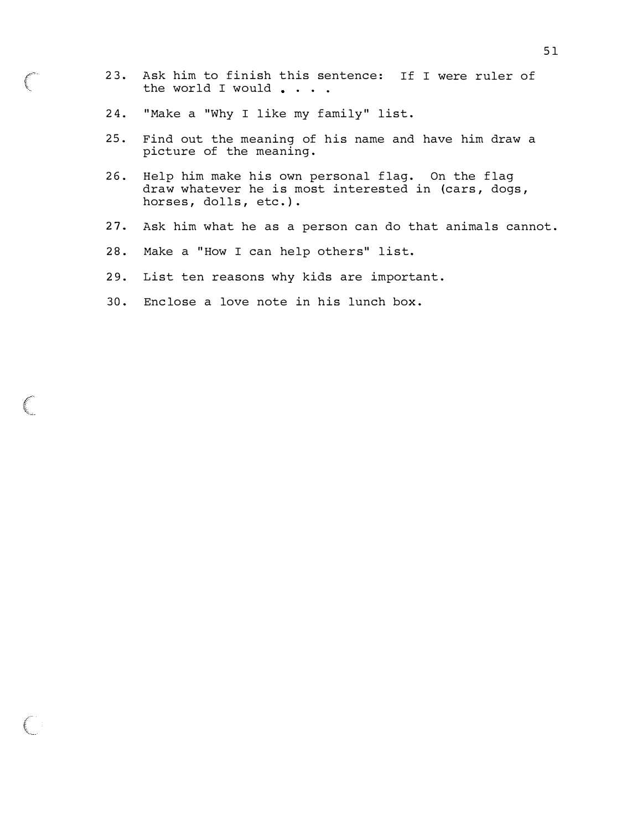- 23. Ask him to finish this sentence: If I were ruler of the world I would . . . .
- 24. "Make a "Why I like my family" list.
- 25 . Find out the meaning of his name and have him draw a picture of the meaning.
- 26. Help him make his own personal flag. On the flag draw whatever he is most interested in (cars, dogs, horses, dolls, etc.).
- 27. Ask him what he as a person can do that animals cannot.
- 28. Make a "How I can help others" list.
- 29. List ten reasons why kids are important.
- 30. Enclose a love note in his lunch box.

 $\bigcap$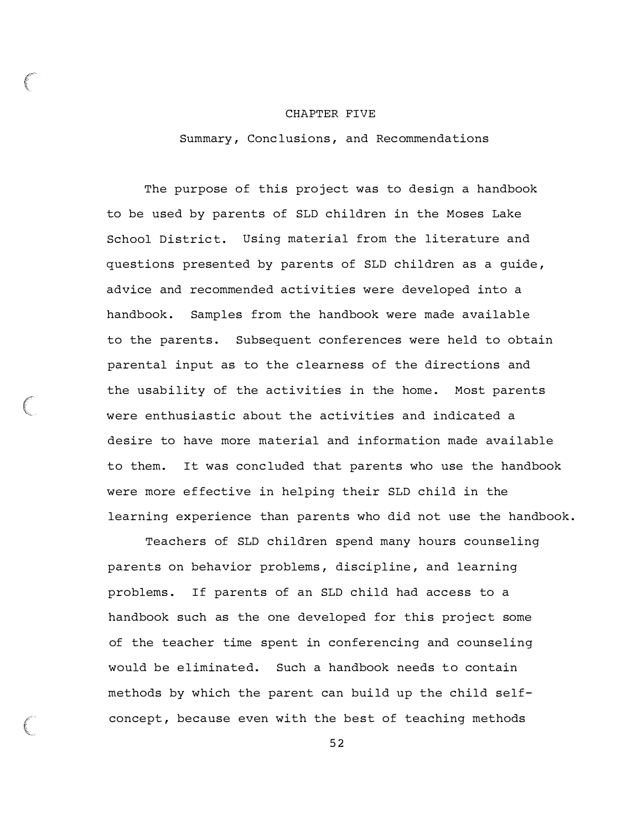#### CHAPTER FIVE

Summary , Conc lusions , and Recommendations

The purpose of this project was to design a handbook to be used by parents of SLD children in the Moses Lake School District. Using material from the literature and questions presented by parents of SLD children as a guide , advice and recommended activities were developed into a handbook . Samples from the handbook were made available to the parents. Subsequent conferences were held to obtain parental input as to the clearness of the directions and the usability of the activities in the home. Most parents were enthusiastic about the activities and indicated a desire to have more material and information made available to them. It was concluded that parents who use the handbook were more effective in helping their SLD child in the learning experience than parents who did not use the handbook .

Teachers of SLD children spend many hours counseling parents on behavior problems , discipline , and learning problems . If parents of an SLD child had access to a handbook such as the one developed for this project some of the teacher time spent in conferencing and counseling would be eliminated. Such a handbook needs to contain methods by which the parent can build up the child selfconcept, because even with the best of teaching methods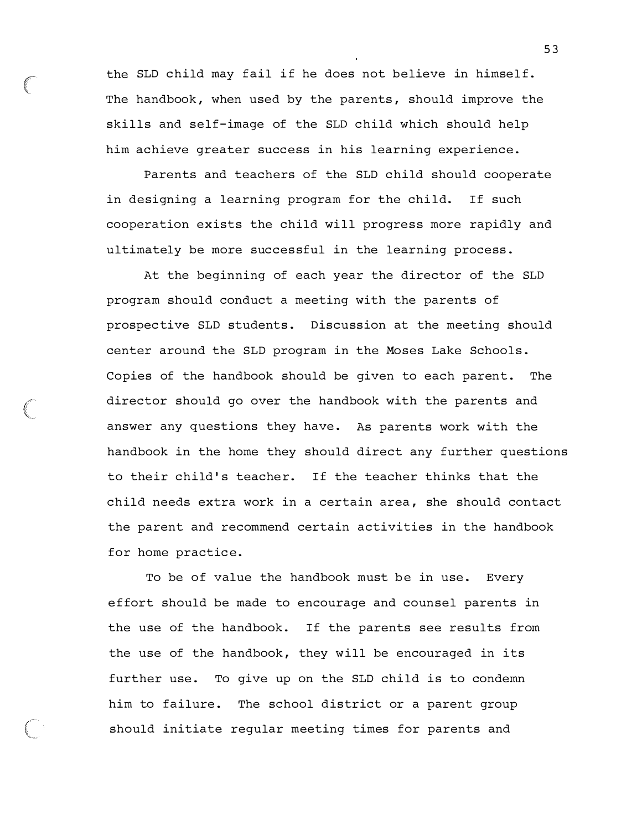the SLD child may fail if he does not believe in himself. The handbook, when used by the parents, should improve the skills and self-image of the SLD child which should help him achieve greater success in his learning experience.

Parents and teachers of the SLD child should cooperate in designing a learning program for the child. If such cooperation exists the child will progress more rapidly and ultimately be more successful in the learning process .

At the beginning of each year the director of the SLD program should conduct a meeting with the parents of prospective SLD students . Discussion at the meeting should center around the SLD program in the Moses Lake Schools . Copies of the handbook should be given to each parent. The director should go over the handbook with the parents and answer any questions they have. As parents work with the handbook in the home they should direct any further questions to their child 's teacher. If the teacher thinks that the child needs extra work in a certain area , she should contact the parent and recommend certain activities in the handbook for home practice.

To be of value the handbook must be in use. Every effort should be made to encourage and counsel parents in the use of the handbook. If the parents see results from the use of the handbook, they will be encouraged in its further use. To give up on the SLD child is to condemn him to failure. The school district or a parent group should initiate regular meeting times for parents and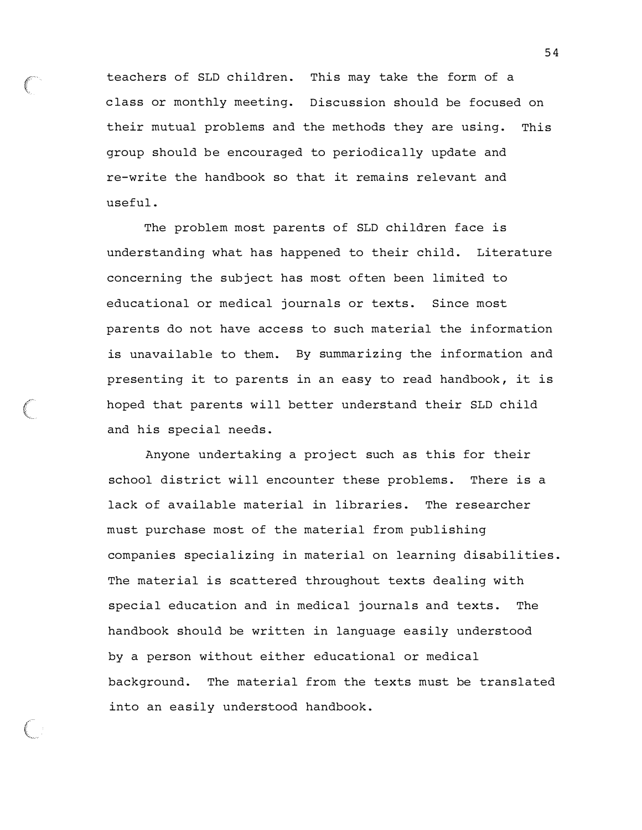teachers of SLD children. This may take the form of a class or monthly meeting. Discussion should be focused on their mutual problems and the methods they are using. This group should be encouraged to periodically update and re-write the handbook so that it remains relevant and useful .

The problem most parents of SLD children face is understanding what has happened to their child. Literature concerning the subject has most often been limited to educational or medical journals or texts. Since most parents do not have access to such material the information is unavailable to them. By summarizing the information and presenting it to parents in an easy to read handbook, it is hoped that parents will better understand their SLD child and his special needs .

Anyone undertaking a project such as this for their school district will encounter these problems. There is a lack of available material in libraries. The researcher must purchase most of the material from publishing companies specializing in material on learning disabilities . The material is scattered throughout texts dealing with special education and in medical journals and texts. The handbook should be written in language easily understood by a person without either educational or medical background. The material from the texts must be translated into an easily understood handbook .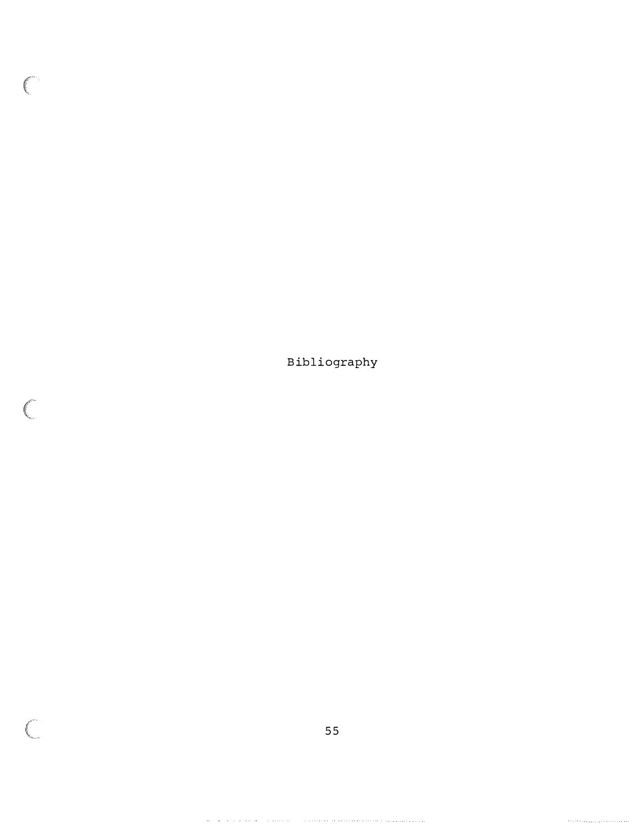B ibliography

 $\big($ 

 $\left($ 

 $\overline{C}$ 

 $\langle \cdot \rangle \cdot \langle \cdot \rangle \cdot \langle \cdot \rangle \cdot \langle \cdot \rangle \cdot \langle \cdot \rangle \cdot \langle \cdot \rangle \cdot \langle \cdot \rangle \cdot \langle \cdot \rangle \cdot \langle \cdot \rangle \cdot \langle \cdot \rangle \cdot \langle \cdot \rangle$ 

 $\label{eq:1} \begin{minipage}[t]{0.9\textwidth} \begin{minipage}[t]{0.9\textwidth} \centering \begin{minipage}[t]{0.9\textwidth} \centering \end{minipage}[t]{0.9\textwidth} \begin{minipage}[t]{0.9\textwidth} \centering \end{minipage}[t]{0.9\textwidth} \begin{minipage}[t]{0.9\textwidth} \centering \end{minipage}[t]{0.9\textwidth} \begin{minipage}[t]{0.9\textwidth} \centering \end{minipage}[t]{0.9\textwidth} \begin{minipage}[t]{0.9\textwidth} \centering \end{minipage}[t]{0.9\textwidth} \begin{$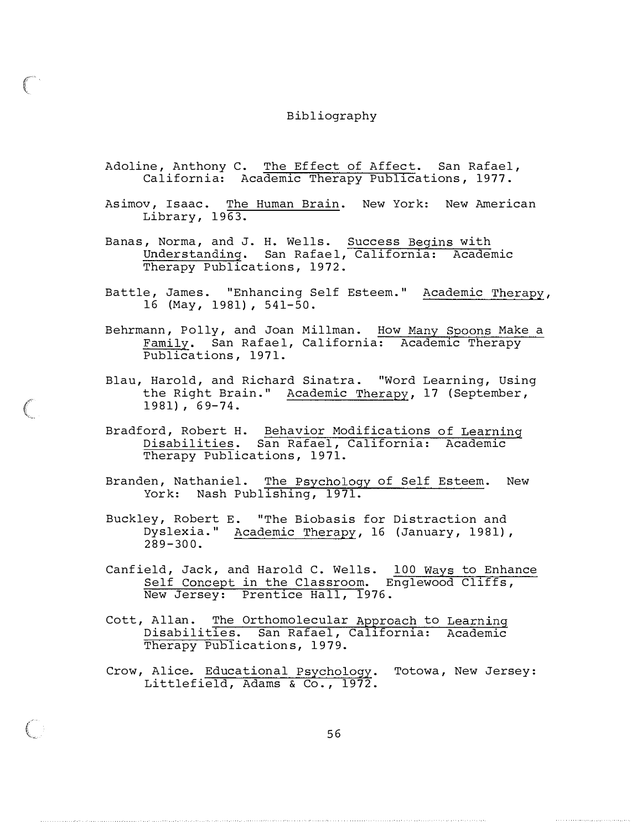#### Bibliography

- Adoline, Anthony C. The Effect of Affect. San Rafael, California: Academic Therapy Publications, 1977.
- Asimov, Isaac. The Human Brain. New York: New American Library,  $19\overline{63}$ .
- Banas, Norma, and J. H. Wells. Success Begins with Understanding. San Rafael, California: Academic Therapy Publications, 1972.
- Battle, James. "Enhancing Self Esteem." Academic Therapy, 16 (May, 1981), 541-50.
- Behrmann, Polly, and Joan Millman. How Many Spoons Make a Family. San Rafael, California: Academic Therapy Publications, 1971.
- Blau, Harold, and Richard Sinatra. "Word Learning, Using the Right Brain." Academic Therapy, 17 (September,  $1981$ ,  $69-74$ .
- Bradford, Robert H. Behavior Modifications Disabil ities . San Rafael, California : Therapy Publications, 1971. of Learning Academic
- Branden, Nathaniel. The Psychology of Self Esteem. New York: Nash Publishing, 1971.
- Buckley, Robert E. "The Biobasis for Distraction and Dyslexia ." Academic Therapy , 16 ( January , 1981) , 289-300.
- Canfield, Jack, and Harold C. Wells. 100 Ways to Enhance Self Concept in the Classroom. Englewood Cliffs , New Jersey: Prentice Hall, 1976.
- Cott, Allan. The Orthomolecular Approach to Learning Disabilities. San Rafael, California: Academic Therapy Publications, 1979.
- Crow, Alice. Educational Psychology. Totowa, New Jersey: Littlefield, Adams & Co., 1972.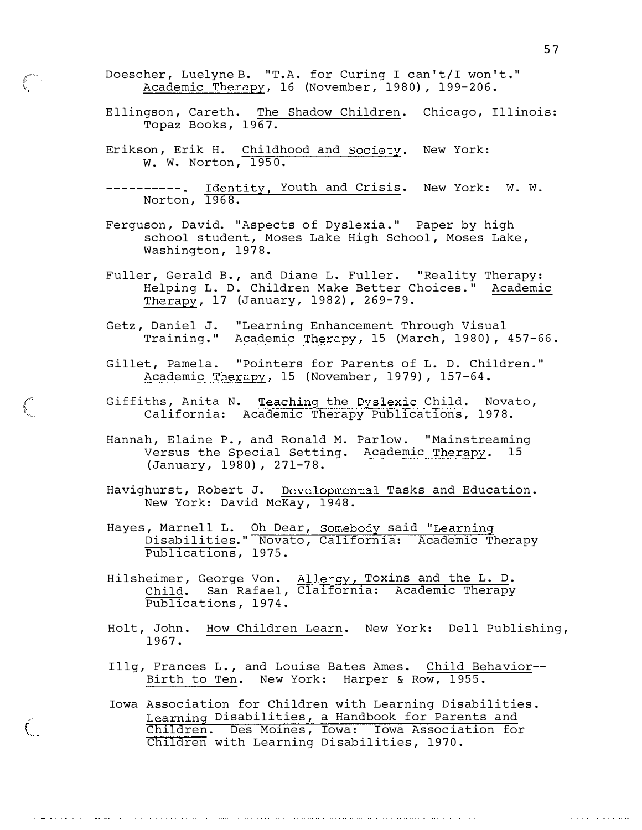- Doescher, Luelyne B. "T.A. for Curing I can't/I won't." Academic Therapy, 16 (November, 1980), 199-206.
- Ellingson, Careth. The Shadow Children. Chicago, Illinois: Topaz Books, 1967.
- Erikson, Erik H. Childhood and Society. New York: W. W. Norton, 1950.
- Norton , Identity, Youth and Crisis. 1 9 68. New York: W. W.
- Ferguson, David. "Aspects of Dyslexia." Paper by high school student, Moses Lake High School, Moses Lake, Washington, 1978.
- Fuller, Gerald B., and Diane L. Fuller. "Reality Helping L. D. Children Make Better Choices ." Therapy, 17 (January, 1982), 269-79. Therapy : Academic
- Getz , Daniel J. " Learning Enhancement Through Visual Training ." Academic Therapy , 15 (March , 1980) , 457-66 .
- Gillet, Pamela. "Pointers for Parents of L. D. Children." Academic Therapy, 15 (November, 1979), 157-64.
- Giffiths, Anita N. Teaching the Dyslexic Child. Novato, California: Academic Therapy Publications, 1978.
- Hannah, Elaine P., and Ronald M. Parlow. "Mainstreaming Versus the Special Setting. Academic Therapy. 15 ( January , 1980) , 271-7 8.
- Havighurst, Robert J. Developmental Tasks and Education. New York: David McKay, 1948.
- Hayes, Marnell L. Oh Dear, Somebody said "Learning Disabilities. " Novato , California: Academic Therapy Publications , 1975 .
- Hilsheimer , George Von . Child. San Rafael, Publications, 1974. Al lergy , Toxins and the L. D. Claifornia: Academic Therapy
- Holt, John. How Children Learn. New York: Dell Publishing, 1967 .
- Illg, Frances L., and Louise Bates Ames. Child Behavior--Birth to Ten. New York: Harper & Row, 1955.
- Iowa Association for Children with Learning Disabilities . Learning Disabilities, a Handbook for Parents and Children. Des Moines, Iowa: Iowa Association for Children with Learning Disabilities, 1970.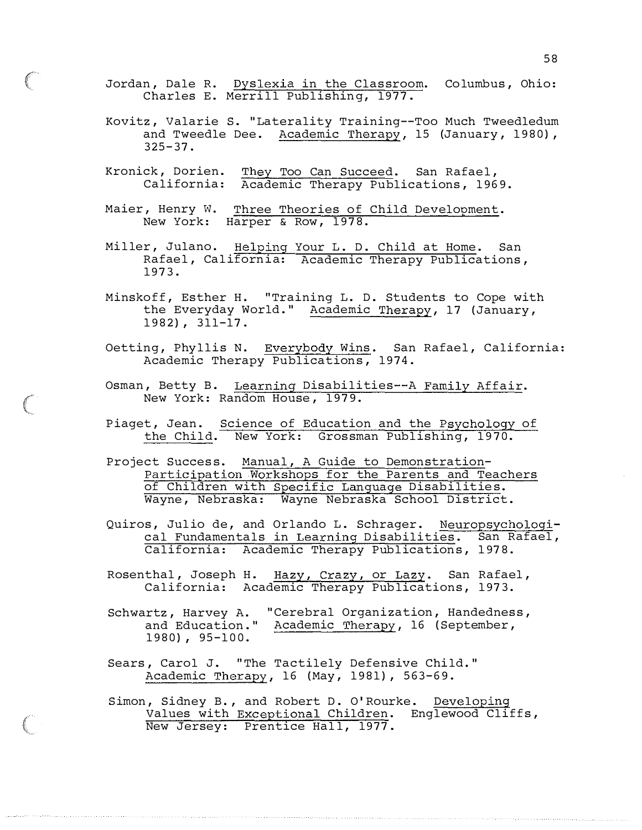Jordan, Dale R. Dyslexia in the Classroom. Columbus, Ohio: Charles E. Merrill Publishing, 1977 .

- Kovitz, Valarie S. " Laterality Training--Too Much Tweedledum and Tweedle Dee. Academic Therapy, 15 (January, 1980),  $325 - 37$ .
- Kronick , Darien . California : They Too Can Succeed. San Rafael, Academic Therapy Publications, 1969.
- Maier, Henry W. New York : Three Theories of Child Development. Harper & Row, 1978.
- Miller, Julano. Helping Rafael , Cal ifornia: 197 3. Your L. D. Child at Home. San Academic Therapy Publications ,
- Minskoff, Esther H. "Training L. D. Students to Cope with the Everyday World." Academic Therapy, 17 (January,  $1982$ ,  $311-17$ .
- Oetting, Phyllis N. Everybody Wins. San Rafael, California: Academic Therapy Publications, 1974.
- Osman, Betty B. Learning Disabilities--A Family Affair. New York: Random House, 1979.
- Piaget, Jean. Science of Education and the Psychology of the Child. New York: Grossman Publishing, 1970.
- Project Success. Manual, A Guide to Demonstration-Participation Workshops for the Parents and Teachers of Children with Specific Language Disabilities. Wayne, Nebraska: Wayne Nebraska School District.
- Quiros, Julio de, and Orlando L. Schrager. Neuropsychological Fundamentals in Learning Disabilities. San Rafael, California: Academic Therapy Publications, 1978.
- Rosenthal, Joseph H. Hazy, Crazy, or Lazy. San Rafael, California: Academic Therapy Publications, 1973.
- Schwartz, Harvey A. "Cerebral Organization, Handedness, and Education." Academic Therapy, 16 (September,  $1980)$ ,  $95-100$ .
- Sears, Carol J. "The Tactilely Defensive Child." Academic Therapy, 16 (May, 1981), 563-69.
- Simon, Sidney B., and Robert D. O'Rourke. Developing Values with Exceptional Children. Englewood Cliffs, New Jersey: Prentice Hall, 1977.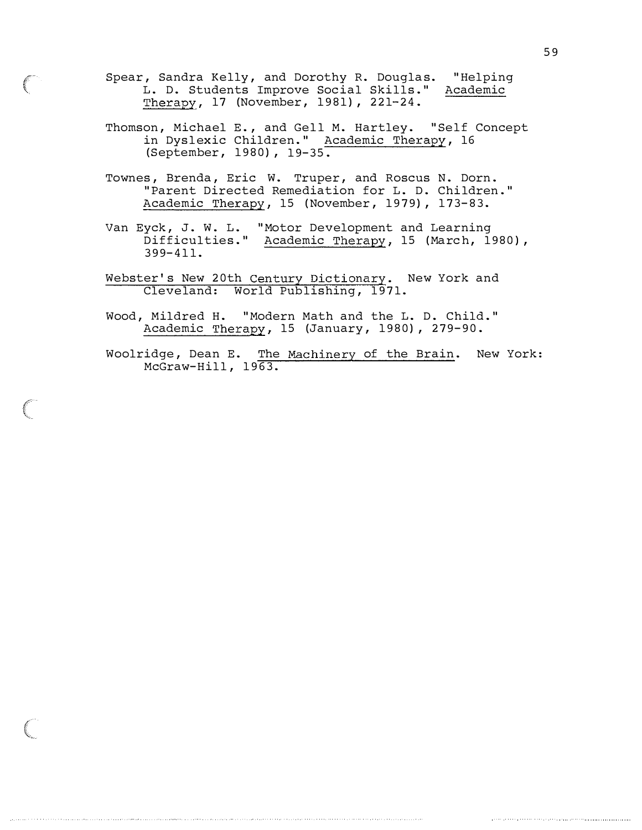- Spear, Sandra Kelly, and Dorothy R. Douglas. "Helping L. D. Students Improve Social Skills." Academic Therapy, 17 (November, 1981), 221-24.
- Thomson, Michael E., and Gell M. Hartley. "Self Concept in Dyslexic Children." Academic Therapy, 16 (September, 1980), 19-35.
- Townes, Brenda, Eric W. Truper, and Roscus N. Dorn. " Parent Directed Remediation for L. D. Children ." Academic Therapy, 15 (November, 1979), 173-83.
- Van Eyck, J. W. L. "Motor Development and Learning Difficulties." Academic Therapy, 15 (March, 1980), 399- 4 11.
- Webster's New 20th Century Dictionary. New York and Cleveland: World Publishing, 1971.
- Wood, Mildred H. "Modern Math and the L. D. Child." Academic Therapy, 15 (January, 1980), 279-90.
- Woolridge, Dean E. The Machinery of the Brain. New York:  $McGraw-Hill, 1963.$